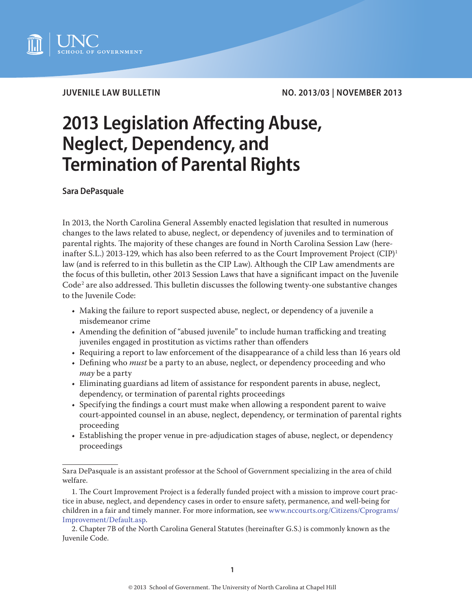

**JUVENILE LAW BULLETIN NO. 2013/03 | NOVEMBER 2013**

# **2013 Legislation Affecting Abuse, Neglect, Dependency, and Termination of Parental Rights**

**Sara DePasquale**

In 2013, the North Carolina General Assembly enacted legislation that resulted in numerous changes to the laws related to abuse, neglect, or dependency of juveniles and to termination of parental rights. The majority of these changes are found in North Carolina Session Law (hereinafter S.L.) 2013-129, which has also been referred to as the Court Improvement Project  $(CIP)^1$ law (and is referred to in this bulletin as the CIP Law). Although the CIP Law amendments are the focus of this bulletin, other 2013 Session Laws that have a significant impact on the Juvenile  $\rm{Code}^2$  are also addressed. This bulletin discusses the following twenty-one substantive changes to the Juvenile Code:

- Making the failure to report suspected abuse, neglect, or dependency of a juvenile a misdemeanor crime
- Amending the definition of "abused juvenile" to include human trafficking and treating juveniles engaged in prostitution as victims rather than offenders
- Requiring a report to law enforcement of the disappearance of a child less than 16 years old
- Defining who *must* be a party to an abuse, neglect, or dependency proceeding and who *may* be a party
- Eliminating guardians ad litem of assistance for respondent parents in abuse, neglect, dependency, or termination of parental rights proceedings
- Specifying the findings a court must make when allowing a respondent parent to waive court-appointed counsel in an abuse, neglect, dependency, or termination of parental rights proceeding
- Establishing the proper venue in pre-adjudication stages of abuse, neglect, or dependency proceedings

Sara DePasquale is an assistant professor at the School of Government specializing in the area of child welfare.

<sup>1.</sup> The Court Improvement Project is a federally funded project with a mission to improve court practice in abuse, neglect, and dependency cases in order to ensure safety, permanence, and well-being for children in a fair and timely manner. For more information, see [www.nccourts.org/Citizens/Cprograms/](http://www.nccourts.org/Citizens/Cprograms/Improvement/Default.asp) [Improvement/Default.asp](http://www.nccourts.org/Citizens/Cprograms/Improvement/Default.asp).

<sup>2.</sup> Chapter 7B of the North Carolina General Statutes (hereinafter G.S.) is commonly known as the Juvenile Code.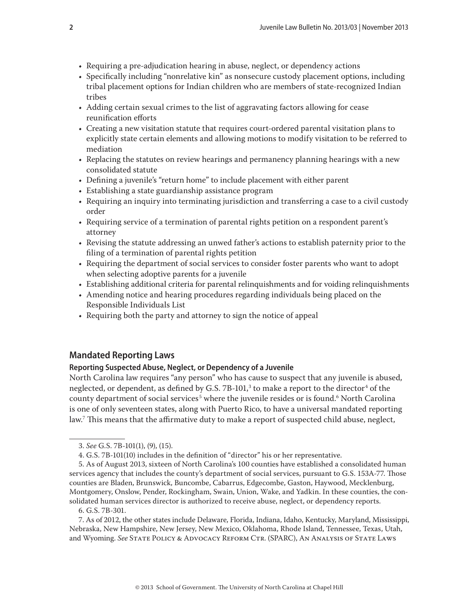- Requiring a pre-adjudication hearing in abuse, neglect, or dependency actions
- Specifically including "nonrelative kin" as nonsecure custody placement options, including tribal placement options for Indian children who are members of state-recognized Indian tribes
- Adding certain sexual crimes to the list of aggravating factors allowing for cease reunification efforts
- Creating a new visitation statute that requires court-ordered parental visitation plans to explicitly state certain elements and allowing motions to modify visitation to be referred to mediation
- Replacing the statutes on review hearings and permanency planning hearings with a new consolidated statute
- Defining a juvenile's "return home" to include placement with either parent
- Establishing a state guardianship assistance program
- Requiring an inquiry into terminating jurisdiction and transferring a case to a civil custody order
- Requiring service of a termination of parental rights petition on a respondent parent's attorney
- Revising the statute addressing an unwed father's actions to establish paternity prior to the filing of a termination of parental rights petition
- Requiring the department of social services to consider foster parents who want to adopt when selecting adoptive parents for a juvenile
- Establishing additional criteria for parental relinquishments and for voiding relinquishments
- Amending notice and hearing procedures regarding individuals being placed on the Responsible Individuals List
- Requiring both the party and attorney to sign the notice of appeal

# **Mandated Reporting Laws**

## **Reporting Suspected Abuse, Neglect, or Dependency of a Juvenile**

North Carolina law requires "any person" who has cause to suspect that any juvenile is abused, neglected, or dependent, as defined by G.S. 7B-101, $^3$  to make a report to the director $^4$  of the county department of social services<sup>5</sup> where the juvenile resides or is found.<sup>6</sup> North Carolina is one of only seventeen states, along with Puerto Rico, to have a universal mandated reporting law.7 This means that the affirmative duty to make a report of suspected child abuse, neglect,

6. G.S. 7B-301.

7. As of 2012, the other states include Delaware, Florida, Indiana, Idaho, Kentucky, Maryland, Mississippi, Nebraska, New Hampshire, New Jersey, New Mexico, Oklahoma, Rhode Island, Tennessee, Texas, Utah, and Wyoming. *See* State Policy & Advocacy Reform Ctr. (SPARC), An Analysis of State Laws

<sup>3.</sup> *See* G.S. 7B-101(1), (9), (15).

<sup>4.</sup> G.S. 7B-101(10) includes in the definition of "director" his or her representative.

<sup>5.</sup> As of August 2013, sixteen of North Carolina's 100 counties have established a consolidated human services agency that includes the county's department of social services, pursuant to G.S. 153A-77. Those counties are Bladen, Brunswick, Buncombe, Cabarrus, Edgecombe, Gaston, Haywood, Mecklenburg, Montgomery, Onslow, Pender, Rockingham, Swain, Union, Wake, and Yadkin. In these counties, the consolidated human services director is authorized to receive abuse, neglect, or dependency reports.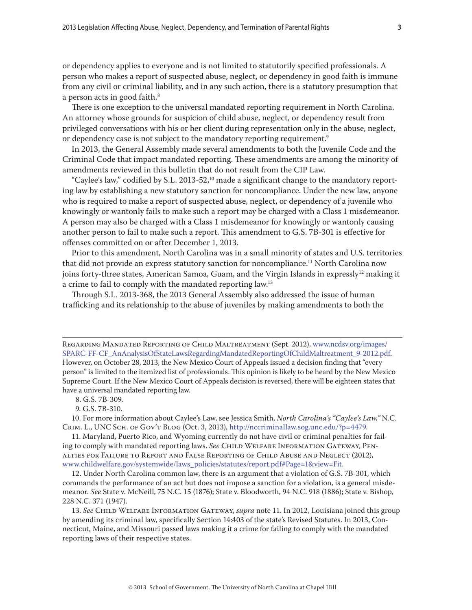or dependency applies to everyone and is not limited to statutorily specified professionals. A person who makes a report of suspected abuse, neglect, or dependency in good faith is immune from any civil or criminal liability, and in any such action, there is a statutory presumption that a person acts in good faith.<sup>8</sup>

There is one exception to the universal mandated reporting requirement in North Carolina. An attorney whose grounds for suspicion of child abuse, neglect, or dependency result from privileged conversations with his or her client during representation only in the abuse, neglect, or dependency case is not subject to the mandatory reporting requirement.<sup>9</sup>

In 2013, the General Assembly made several amendments to both the Juvenile Code and the Criminal Code that impact mandated reporting. These amendments are among the minority of amendments reviewed in this bulletin that do not result from the CIP Law.

"Caylee's law," codified by S.L. 2013-52,<sup>10</sup> made a significant change to the mandatory reporting law by establishing a new statutory sanction for noncompliance. Under the new law, anyone who is required to make a report of suspected abuse, neglect, or dependency of a juvenile who knowingly or wantonly fails to make such a report may be charged with a Class 1 misdemeanor. A person may also be charged with a Class 1 misdemeanor for knowingly or wantonly causing another person to fail to make such a report. This amendment to G.S. 7B-301 is effective for offenses committed on or after December 1, 2013.

Prior to this amendment, North Carolina was in a small minority of states and U.S. territories that did not provide an express statutory sanction for noncompliance.<sup>11</sup> North Carolina now joins forty-three states, American Samoa, Guam, and the Virgin Islands in expressly<sup>12</sup> making it a crime to fail to comply with the mandated reporting law.<sup>13</sup>

Through S.L. 2013-368, the 2013 General Assembly also addressed the issue of human trafficking and its relationship to the abuse of juveniles by making amendments to both the

Regarding Mandated Reporting of Child Maltreatment (Sept. 2012), [www.ncdsv.org/images/](http://www.ncdsv.org/images/SPARC-FF-CF_AnAnalysisOfStateLawsRegardingMandatedReportingOfChildMaltreatment_9-2012.pdf) [SPARC-FF-CF\\_AnAnalysisOfStateLawsRegardingMandatedReportingOfChildMaltreatment\\_9-2012.pdf](http://www.ncdsv.org/images/SPARC-FF-CF_AnAnalysisOfStateLawsRegardingMandatedReportingOfChildMaltreatment_9-2012.pdf). However, on October 28, 2013, the New Mexico Court of Appeals issued a decision finding that "every person" is limited to the itemized list of professionals. This opinion is likely to be heard by the New Mexico Supreme Court. If the New Mexico Court of Appeals decision is reversed, there will be eighteen states that have a universal mandated reporting law.

8. G.S. 7B-309.

9. G.S. 7B-310.

10. For more information about Caylee's Law, see Jessica Smith, *North Carolina's "Caylee's Law,"* N.C. Crim. L., UNC Sch. of Gov't Blog (Oct. 3, 2013), [http://nccriminallaw.sog.unc.edu/?p=4479.](http://nccriminallaw.sog.unc.edu/?p=4479)

11. Maryland, Puerto Rico, and Wyoming currently do not have civil or criminal penalties for failing to comply with mandated reporting laws. *See* Child Welfare Information Gateway, Penalties for Failure to Report and False Reporting of Child Abuse and Neglect (2012), www.childwelfare.gov/systemwide/laws\_policies/statutes/report.pdf#Page=1&view=Fit.

12. Under North Carolina common law, there is an argument that a violation of G.S. 7B-301, which commands the performance of an act but does not impose a sanction for a violation, is a general misdemeanor. *See* State v. McNeill, 75 N.C. 15 (1876); State v. Bloodworth, 94 N.C. 918 (1886); State v. Bishop, 228 N.C. 371 (1947).

13. *See* Child Welfare Information Gateway, *supra* note 11. In 2012, Louisiana joined this group by amending its criminal law, specifically Section 14:403 of the state's Revised Statutes. In 2013, Connecticut, Maine, and Missouri passed laws making it a crime for failing to comply with the mandated reporting laws of their respective states.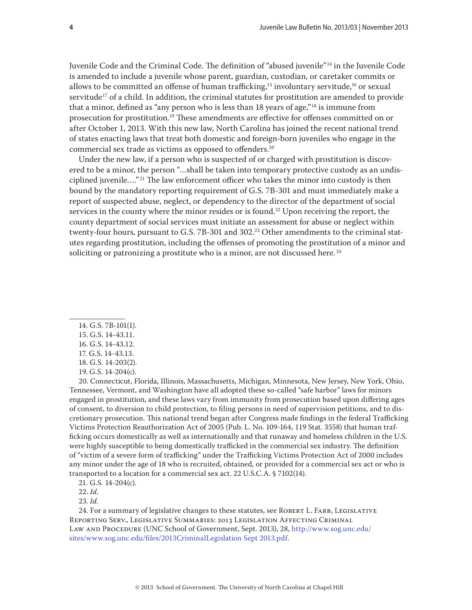Juvenile Code and the Criminal Code. The definition of "abused juvenile" 14 in the Juvenile Code is amended to include a juvenile whose parent, guardian, custodian, or caretaker commits or allows to be committed an offense of human trafficking,<sup>15</sup> involuntary servitude,<sup>16</sup> or sexual servitude<sup>17</sup> of a child. In addition, the criminal statutes for prostitution are amended to provide that a minor, defined as "any person who is less than 18 years of age,"<sup>18</sup> is immune from prosecution for prostitution.19 These amendments are effective for offenses committed on or after October 1, 2013. With this new law, North Carolina has joined the recent national trend of states enacting laws that treat both domestic and foreign-born juveniles who engage in the commercial sex trade as victims as opposed to offenders.20

Under the new law, if a person who is suspected of or charged with prostitution is discovered to be a minor, the person "…shall be taken into temporary protective custody as an undisciplined juvenile...."<sup>21</sup> The law enforcement officer who takes the minor into custody is then bound by the mandatory reporting requirement of G.S. 7B-301 and must immediately make a report of suspected abuse, neglect, or dependency to the director of the department of social services in the county where the minor resides or is found.<sup>22</sup> Upon receiving the report, the county department of social services must initiate an assessment for abuse or neglect within twenty-four hours, pursuant to G.S. 7B-301 and 302.<sup>23</sup> Other amendments to the criminal statutes regarding prostitution, including the offenses of promoting the prostitution of a minor and soliciting or patronizing a prostitute who is a minor, are not discussed here.<sup>24</sup>

- 14. G.S. 7B-101(1).
- 15. G.S. 14-43.11.
- 16. G.S. 14-43.12.
- 17. G.S. 14-43.13.
- 18. G.S. 14-203(2).
- 19. G.S. 14-204(c).

20. Connecticut, Florida, Illinois, Massachusetts, Michigan, Minnesota, New Jersey, New York, Ohio, Tennessee, Vermont, and Washington have all adopted these so-called "safe harbor" laws for minors engaged in prostitution, and these laws vary from immunity from prosecution based upon differing ages of consent, to diversion to child protection, to filing persons in need of supervision petitions, and to discretionary prosecution. This national trend began after Congress made findings in the federal Trafficking Victims Protection Reauthorization Act of 2005 (Pub. L. No. 109-164, 119 Stat. 3558) that human trafficking occurs domestically as well as internationally and that runaway and homeless children in the U.S. were highly susceptible to being domestically trafficked in the commercial sex industry. The definition of "victim of a severe form of trafficking" under the Trafficking Victims Protection Act of 2000 includes any minor under the age of 18 who is recruited, obtained, or provided for a commercial sex act or who is transported to a location for a commercial sex act. 22 U.S.C.A. § 7102(14).

21. G.S. 14-204(c).

22. *Id*.

23. *Id.*

24. For a summary of legislative changes to these statutes, see ROBERT L. FARB, LEGISLATIVE Reporting Serv., Legislative Summaries: 2013 Legislation Affecting Criminal Law and Procedure (UNC School of Government, Sept. 2013), 28, [http://www.sog.unc.edu/](http://www.sog.unc.edu/sites/www.sog.unc.edu/files/2013CriminalLegislation%20Sept%202013.pdf) [sites/www.sog.unc.edu/files/2013CriminalLegislation Sept 2013.pdf](http://www.sog.unc.edu/sites/www.sog.unc.edu/files/2013CriminalLegislation%20Sept%202013.pdf).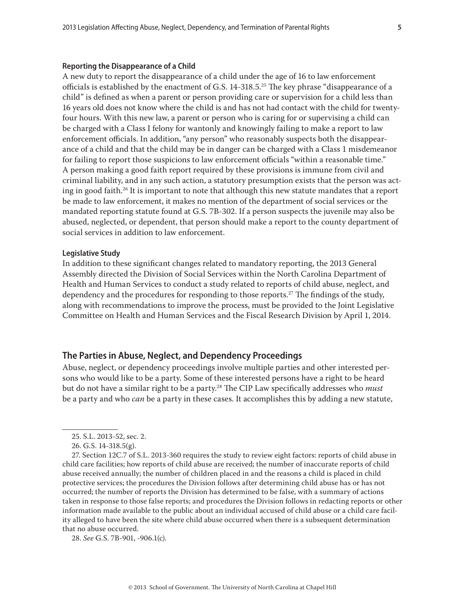#### **Reporting the Disappearance of a Child**

A new duty to report the disappearance of a child under the age of 16 to law enforcement officials is established by the enactment of G.S.  $14$ -318.5.<sup>25</sup> The key phrase "disappearance of a child" is defined as when a parent or person providing care or supervision for a child less than 16 years old does not know where the child is and has not had contact with the child for twentyfour hours. With this new law, a parent or person who is caring for or supervising a child can be charged with a Class I felony for wantonly and knowingly failing to make a report to law enforcement officials. In addition, "any person" who reasonably suspects both the disappearance of a child and that the child may be in danger can be charged with a Class 1 misdemeanor for failing to report those suspicions to law enforcement officials "within a reasonable time." A person making a good faith report required by these provisions is immune from civil and criminal liability, and in any such action, a statutory presumption exists that the person was acting in good faith.<sup>26</sup> It is important to note that although this new statute mandates that a report be made to law enforcement, it makes no mention of the department of social services or the mandated reporting statute found at G.S. 7B-302. If a person suspects the juvenile may also be abused, neglected, or dependent, that person should make a report to the county department of social services in addition to law enforcement.

#### **Legislative Study**

In addition to these significant changes related to mandatory reporting, the 2013 General Assembly directed the Division of Social Services within the North Carolina Department of Health and Human Services to conduct a study related to reports of child abuse, neglect, and dependency and the procedures for responding to those reports.<sup>27</sup> The findings of the study, along with recommendations to improve the process, must be provided to the Joint Legislative Committee on Health and Human Services and the Fiscal Research Division by April 1, 2014.

# **The Parties in Abuse, Neglect, and Dependency Proceedings**

Abuse, neglect, or dependency proceedings involve multiple parties and other interested persons who would like to be a party. Some of these interested persons have a right to be heard but do not have a similar right to be a party.28 The CIP Law specifically addresses who *must* be a party and who *can* be a party in these cases. It accomplishes this by adding a new statute,

28. *See* G.S. 7B-901, -906.1(c).

<sup>25.</sup> S.L. 2013-52, sec. 2.

<sup>26.</sup> G.S. 14-318.5(g).

<sup>27.</sup> Section 12C.7 of S.L. 2013-360 requires the study to review eight factors: reports of child abuse in child care facilities; how reports of child abuse are received; the number of inaccurate reports of child abuse received annually; the number of children placed in and the reasons a child is placed in child protective services; the procedures the Division follows after determining child abuse has or has not occurred; the number of reports the Division has determined to be false, with a summary of actions taken in response to those false reports; and procedures the Division follows in redacting reports or other information made available to the public about an individual accused of child abuse or a child care facility alleged to have been the site where child abuse occurred when there is a subsequent determination that no abuse occurred.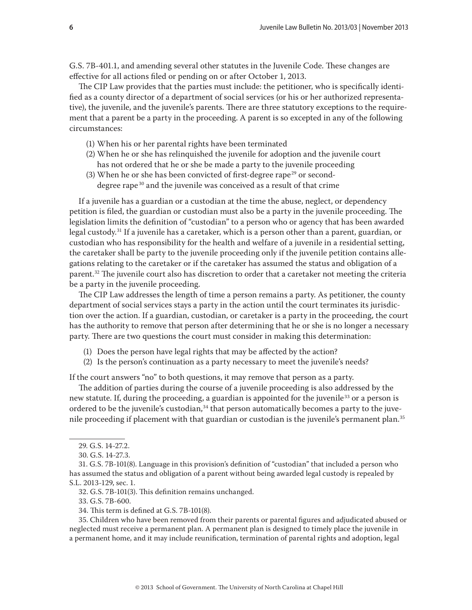G.S. 7B-401.1, and amending several other statutes in the Juvenile Code. These changes are effective for all actions filed or pending on or after October 1, 2013.

The CIP Law provides that the parties must include: the petitioner, who is specifically identified as a county director of a department of social services (or his or her authorized representative), the juvenile, and the juvenile's parents. There are three statutory exceptions to the requirement that a parent be a party in the proceeding. A parent is so excepted in any of the following circumstances:

- (1) When his or her parental rights have been terminated
- (2) When he or she has relinquished the juvenile for adoption and the juvenile court has not ordered that he or she be made a party to the juvenile proceeding
- (3) When he or she has been convicted of first-degree rape<sup>29</sup> or seconddegree rape<sup>30</sup> and the juvenile was conceived as a result of that crime

If a juvenile has a guardian or a custodian at the time the abuse, neglect, or dependency petition is filed, the guardian or custodian must also be a party in the juvenile proceeding. The legislation limits the definition of "custodian" to a person who or agency that has been awarded legal custody.<sup>31</sup> If a juvenile has a caretaker, which is a person other than a parent, guardian, or custodian who has responsibility for the health and welfare of a juvenile in a residential setting, the caretaker shall be party to the juvenile proceeding only if the juvenile petition contains allegations relating to the caretaker or if the caretaker has assumed the status and obligation of a parent.<sup>32</sup> The juvenile court also has discretion to order that a caretaker not meeting the criteria be a party in the juvenile proceeding.

The CIP Law addresses the length of time a person remains a party. As petitioner, the county department of social services stays a party in the action until the court terminates its jurisdiction over the action. If a guardian, custodian, or caretaker is a party in the proceeding, the court has the authority to remove that person after determining that he or she is no longer a necessary party. There are two questions the court must consider in making this determination:

- (1) Does the person have legal rights that may be affected by the action?
- (2) Is the person's continuation as a party necessary to meet the juvenile's needs?

If the court answers "no" to both questions, it may remove that person as a party.

The addition of parties during the course of a juvenile proceeding is also addressed by the new statute. If, during the proceeding, a guardian is appointed for the juvenile<sup>33</sup> or a person is ordered to be the juvenile's custodian,<sup>34</sup> that person automatically becomes a party to the juvenile proceeding if placement with that guardian or custodian is the juvenile's permanent plan.<sup>35</sup>

32. G.S. 7B-101(3). This definition remains unchanged.

33. G.S. 7B-600.

35. Children who have been removed from their parents or parental figures and adjudicated abused or neglected must receive a permanent plan. A permanent plan is designed to timely place the juvenile in a permanent home, and it may include reunification, termination of parental rights and adoption, legal

<sup>29.</sup> G.S. 14-27.2.

<sup>30.</sup> G.S. 14-27.3.

<sup>31.</sup> G.S. 7B-101(8). Language in this provision's definition of "custodian" that included a person who has assumed the status and obligation of a parent without being awarded legal custody is repealed by S.L. 2013-129, sec. 1.

<sup>34.</sup> This term is defined at G.S. 7B-101(8).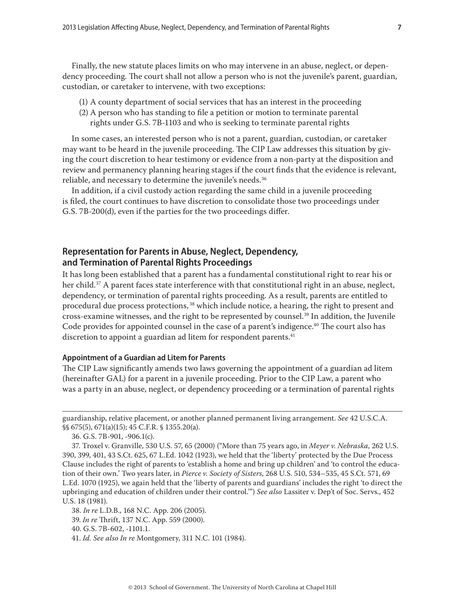Finally, the new statute places limits on who may intervene in an abuse, neglect, or dependency proceeding. The court shall not allow a person who is not the juvenile's parent, guardian, custodian, or caretaker to intervene, with two exceptions:

- (1) A county department of social services that has an interest in the proceeding
- (2) A person who has standing to file a petition or motion to terminate parental rights under G.S. 7B-1103 and who is seeking to terminate parental rights

In some cases, an interested person who is not a parent, guardian, custodian, or caretaker may want to be heard in the juvenile proceeding. The CIP Law addresses this situation by giving the court discretion to hear testimony or evidence from a non-party at the disposition and review and permanency planning hearing stages if the court finds that the evidence is relevant, reliable, and necessary to determine the juvenile's needs.<sup>36</sup>

In addition, if a civil custody action regarding the same child in a juvenile proceeding is filed, the court continues to have discretion to consolidate those two proceedings under G.S. 7B-200(d), even if the parties for the two proceedings differ.

# **Representation for Parents in Abuse, Neglect, Dependency, and Termination of Parental Rights Proceedings**

It has long been established that a parent has a fundamental constitutional right to rear his or her child.<sup>37</sup> A parent faces state interference with that constitutional right in an abuse, neglect, dependency, or termination of parental rights proceeding. As a result, parents are entitled to procedural due process protections,<sup>38</sup> which include notice, a hearing, the right to present and cross-examine witnesses, and the right to be represented by counsel.<sup>39</sup> In addition, the Juvenile Code provides for appointed counsel in the case of a parent's indigence.<sup>40</sup> The court also has discretion to appoint a guardian ad litem for respondent parents.<sup>41</sup>

#### **Appointment of a Guardian ad Litem for Parents**

The CIP Law significantly amends two laws governing the appointment of a guardian ad litem (hereinafter GAL) for a parent in a juvenile proceeding. Prior to the CIP Law, a parent who was a party in an abuse, neglect, or dependency proceeding or a termination of parental rights

guardianship, relative placement, or another planned permanent living arrangement. *See* 42 U.S.C.A. §§ 675(5), 671(a)(15); 45 C.F.R. § 1355.20(a).

<sup>36.</sup> G.S. 7B-901, -906.1(c).

<sup>37.</sup> Troxel v. Granville, 530 U.S. 57, 65 (2000) ("More than 75 years ago, in *Meyer v. Nebraska*, 262 U.S. 390, 399, 401, 43 S.Ct. 625, 67 L.Ed. 1042 (1923), we held that the 'liberty' protected by the Due Process Clause includes the right of parents to 'establish a home and bring up children' and 'to control the education of their own.' Two years later, in *Pierce v. Society of Sisters*, 268 U.S. 510, 534–535, 45 S.Ct. 571, 69 L.Ed. 1070 (1925), we again held that the 'liberty of parents and guardians' includes the right 'to direct the upbringing and education of children under their control.'") *See also* Lassiter v. Dep't of Soc. Servs., 452 U.S. 18 (1981).

<sup>38.</sup> *In re* L.D.B., 168 N.C. App. 206 (2005).

<sup>39.</sup> *In re* Thrift, 137 N.C. App. 559 (2000).

<sup>40.</sup> G.S. 7B-602, -1101.1.

<sup>41.</sup> *Id. See also In re* Montgomery, 311 N.C. 101 (1984).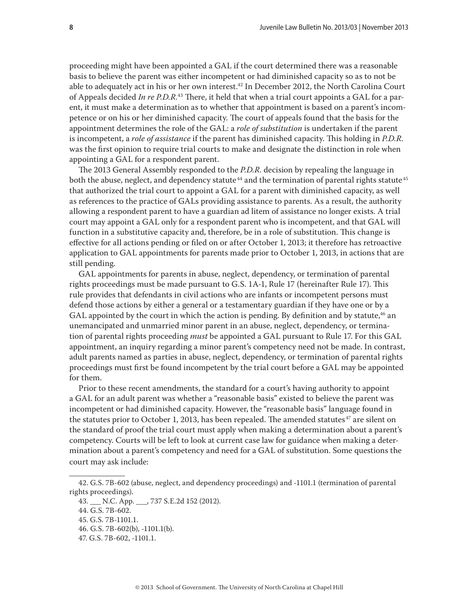proceeding might have been appointed a GAL if the court determined there was a reasonable basis to believe the parent was either incompetent or had diminished capacity so as to not be able to adequately act in his or her own interest.<sup>42</sup> In December 2012, the North Carolina Court of Appeals decided *In re P.D.R.*43 There, it held that when a trial court appoints a GAL for a parent, it must make a determination as to whether that appointment is based on a parent's incompetence or on his or her diminished capacity. The court of appeals found that the basis for the appointment determines the role of the GAL: a *role of substitution* is undertaken if the parent is incompetent, a *role of assistance* if the parent has diminished capacity. This holding in *P.D.R.* was the first opinion to require trial courts to make and designate the distinction in role when appointing a GAL for a respondent parent.

The 2013 General Assembly responded to the *P.D.R*. decision by repealing the language in both the abuse, neglect, and dependency statute<sup>44</sup> and the termination of parental rights statute<sup>45</sup> that authorized the trial court to appoint a GAL for a parent with diminished capacity, as well as references to the practice of GALs providing assistance to parents. As a result, the authority allowing a respondent parent to have a guardian ad litem of assistance no longer exists. A trial court may appoint a GAL only for a respondent parent who is incompetent, and that GAL will function in a substitutive capacity and, therefore, be in a role of substitution. This change is effective for all actions pending or filed on or after October 1, 2013; it therefore has retroactive application to GAL appointments for parents made prior to October 1, 2013, in actions that are still pending.

GAL appointments for parents in abuse, neglect, dependency, or termination of parental rights proceedings must be made pursuant to G.S. 1A-1, Rule 17 (hereinafter Rule 17). This rule provides that defendants in civil actions who are infants or incompetent persons must defend those actions by either a general or a testamentary guardian if they have one or by a GAL appointed by the court in which the action is pending. By definition and by statute, $46$  an unemancipated and unmarried minor parent in an abuse, neglect, dependency, or termination of parental rights proceeding *must* be appointed a GAL pursuant to Rule 17. For this GAL appointment, an inquiry regarding a minor parent's competency need not be made. In contrast, adult parents named as parties in abuse, neglect, dependency, or termination of parental rights proceedings must first be found incompetent by the trial court before a GAL may be appointed for them.

Prior to these recent amendments, the standard for a court's having authority to appoint a GAL for an adult parent was whether a "reasonable basis" existed to believe the parent was incompetent or had diminished capacity. However, the "reasonable basis" language found in the statutes prior to October 1, 2013, has been repealed. The amended statutes<sup>47</sup> are silent on the standard of proof the trial court must apply when making a determination about a parent's competency. Courts will be left to look at current case law for guidance when making a determination about a parent's competency and need for a GAL of substitution. Some questions the court may ask include:

<sup>42.</sup> G.S. 7B-602 (abuse, neglect, and dependency proceedings) and -1101.1 (termination of parental rights proceedings).

<sup>43.</sup> \_\_\_ N.C. App. \_\_\_, 737 S.E.2d 152 (2012).

<sup>44.</sup> G.S. 7B-602.

<sup>45.</sup> G.S. 7B-1101.1.

<sup>46.</sup> G.S. 7B-602(b), -1101.1(b).

<sup>47.</sup> G.S. 7B-602, -1101.1.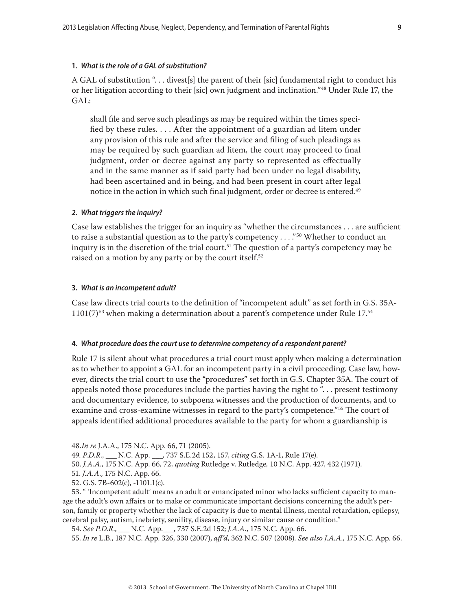## **1.** *What is the role of a GAL of substitution?*

A GAL of substitution "... divest[s] the parent of their [sic] fundamental right to conduct his or her litigation according to their [sic] own judgment and inclination."48 Under Rule 17, the GAL:

shall file and serve such pleadings as may be required within the times specified by these rules. . . . After the appointment of a guardian ad litem under any provision of this rule and after the service and filing of such pleadings as may be required by such guardian ad litem, the court may proceed to final judgment, order or decree against any party so represented as effectually and in the same manner as if said party had been under no legal disability, had been ascertained and in being, and had been present in court after legal notice in the action in which such final judgment, order or decree is entered.<sup>49</sup>

#### *2. What triggers the inquiry?*

Case law establishes the trigger for an inquiry as "whether the circumstances . . . are sufficient to raise a substantial question as to the party's competency  $\dots$ ."<sup>50</sup> Whether to conduct an inquiry is in the discretion of the trial court.<sup>51</sup> The question of a party's competency may be raised on a motion by any party or by the court itself.<sup>52</sup>

#### **3.** *What is an incompetent adult?*

Case law directs trial courts to the definition of "incompetent adult" as set forth in G.S. 35A- $1101(7)$ <sup>53</sup> when making a determination about a parent's competence under Rule  $17.54$ 

#### **4.** *What procedure does the court use to determine competency of a respondent parent?*

Rule 17 is silent about what procedures a trial court must apply when making a determination as to whether to appoint a GAL for an incompetent party in a civil proceeding. Case law, however, directs the trial court to use the "procedures" set forth in G.S. Chapter 35A. The court of appeals noted those procedures include the parties having the right to ". . . present testimony and documentary evidence, to subpoena witnesses and the production of documents, and to examine and cross-examine witnesses in regard to the party's competence."<sup>55</sup> The court of appeals identified additional procedures available to the party for whom a guardianship is

<sup>48.</sup>*In re* J.A.A., 175 N.C. App. 66, 71 (2005).

<sup>49.</sup> *P.D.R*., \_\_\_ N.C. App. \_\_\_, 737 S.E.2d 152, 157, *citing* G.S. 1A-1, Rule 17(e).

<sup>50.</sup> *J.A.A*., 175 N.C. App. 66, 72*, quoting* Rutledge v. Rutledge*,* 10 N.C. App. 427, 432 (1971).

<sup>51.</sup> *J.A.A*., 175 N.C. App. 66.

<sup>52.</sup> G.S. 7B-602(c), -1101.1(c).

<sup>53. &</sup>quot; 'Incompetent adult' means an adult or emancipated minor who lacks sufficient capacity to manage the adult's own affairs or to make or communicate important decisions concerning the adult's person, family or property whether the lack of capacity is due to mental illness, mental retardation, epilepsy, cerebral palsy, autism, inebriety, senility, disease, injury or similar cause or condition."

<sup>54.</sup> *See P.D.R*., \_\_\_ N.C. App.\_\_\_, 737 S.E.2d 152; *J.A.A*., 175 N.C. App. 66.

<sup>55.</sup> *In re* L.B., 187 N.C. App. 326, 330 (2007), *aff'd*, 362 N.C. 507 (2008). *See also J.A.A*., 175 N.C. App. 66.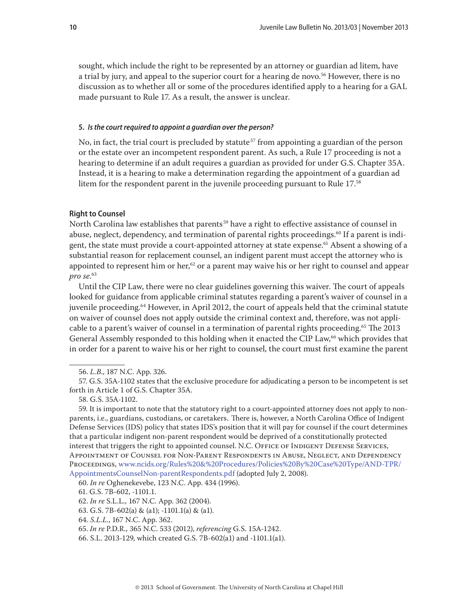sought, which include the right to be represented by an attorney or guardian ad litem, have a trial by jury, and appeal to the superior court for a hearing de novo.<sup>56</sup> However, there is no discussion as to whether all or some of the procedures identified apply to a hearing for a GAL made pursuant to Rule 17. As a result, the answer is unclear.

#### **5.** *Is the court required to appoint a guardian over the person?*

No, in fact, the trial court is precluded by statute<sup>57</sup> from appointing a guardian of the person or the estate over an incompetent respondent parent. As such, a Rule 17 proceeding is not a hearing to determine if an adult requires a guardian as provided for under G.S. Chapter 35A. Instead, it is a hearing to make a determination regarding the appointment of a guardian ad litem for the respondent parent in the juvenile proceeding pursuant to Rule 17.<sup>58</sup>

#### **Right to Counsel**

North Carolina law establishes that parents<sup>59</sup> have a right to effective assistance of counsel in abuse, neglect, dependency, and termination of parental rights proceedings.<sup>60</sup> If a parent is indigent, the state must provide a court-appointed attorney at state expense.<sup>61</sup> Absent a showing of a substantial reason for replacement counsel, an indigent parent must accept the attorney who is appointed to represent him or her,<sup>62</sup> or a parent may waive his or her right to counsel and appear *pro se*. 63

Until the CIP Law, there were no clear guidelines governing this waiver. The court of appeals looked for guidance from applicable criminal statutes regarding a parent's waiver of counsel in a juvenile proceeding.<sup>64</sup> However, in April 2012, the court of appeals held that the criminal statute on waiver of counsel does not apply outside the criminal context and, therefore, was not applicable to a parent's waiver of counsel in a termination of parental rights proceeding.65 The 2013 General Assembly responded to this holding when it enacted the CIP Law,<sup>66</sup> which provides that in order for a parent to waive his or her right to counsel, the court must first examine the parent

60. *In re* Oghenekevebe, 123 N.C. App. 434 (1996).

<sup>56.</sup> *L.B*., 187 N.C. App. 326.

<sup>57.</sup> G.S. 35A-1102 states that the exclusive procedure for adjudicating a person to be incompetent is set forth in Article 1 of G.S. Chapter 35A.

<sup>58.</sup> G.S. 35A-1102.

<sup>59.</sup> It is important to note that the statutory right to a court-appointed attorney does not apply to nonparents, i.e., guardians, custodians, or caretakers. There is, however, a North Carolina Office of Indigent Defense Services (IDS) policy that states IDS's position that it will pay for counsel if the court determines that a particular indigent non-parent respondent would be deprived of a constitutionally protected interest that triggers the right to appointed counsel. N.C. OFFICE OF INDIGENT DEFENSE SERVICES, Appointment of Counsel for Non-Parent Respondents in Abuse, Neglect, and Dependency Proceedings, [www.ncids.org/Rules%20&%20Procedures/Policies%20By%20Case%20Type/AND-TPR/](http://www.aoc.state.nc.us/www/ids/Rules%20&%20Procedures/Policies%20By%20Case%20Type/AND-TPR/AppointmentsCounselNon-parentRespondents.pdf) [AppointmentsCounselNon-parentRespondents.pdf](http://www.aoc.state.nc.us/www/ids/Rules%20&%20Procedures/Policies%20By%20Case%20Type/AND-TPR/AppointmentsCounselNon-parentRespondents.pdf) (adopted July 2, 2008).

<sup>61.</sup> G.S. 7B-602, -1101.1.

<sup>62.</sup> *In re* S.L.L*.,* 167 N.C. App. 362 (2004).

<sup>63.</sup> G.S. 7B-602(a) & (a1); -1101.1(a) & (a1).

<sup>64.</sup> *S.L.L.*, 167 N.C. App. 362.

<sup>65.</sup> *In re* P.D.R*.,* 365 N.C. 533 (2012), *referencing* G.S. 15A-1242.

<sup>66.</sup> S.L. 2013-129, which created G.S. 7B-602(a1) and -1101.1(a1).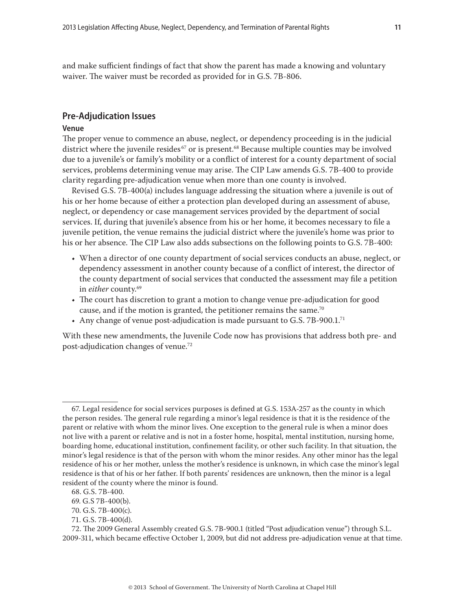and make sufficient findings of fact that show the parent has made a knowing and voluntary waiver. The waiver must be recorded as provided for in G.S. 7B-806.

#### **Pre-Adjudication Issues**

#### **Venue**

The proper venue to commence an abuse, neglect, or dependency proceeding is in the judicial district where the juvenile resides<sup>67</sup> or is present.<sup>68</sup> Because multiple counties may be involved due to a juvenile's or family's mobility or a conflict of interest for a county department of social services, problems determining venue may arise. The CIP Law amends G.S. 7B-400 to provide clarity regarding pre-adjudication venue when more than one county is involved.

Revised G.S. 7B-400(a) includes language addressing the situation where a juvenile is out of his or her home because of either a protection plan developed during an assessment of abuse, neglect, or dependency or case management services provided by the department of social services. If, during that juvenile's absence from his or her home, it becomes necessary to file a juvenile petition, the venue remains the judicial district where the juvenile's home was prior to his or her absence. The CIP Law also adds subsections on the following points to G.S. 7B-400:

- When a director of one county department of social services conducts an abuse, neglect, or dependency assessment in another county because of a conflict of interest, the director of the county department of social services that conducted the assessment may file a petition in *either* county.<sup>69</sup>
- The court has discretion to grant a motion to change venue pre-adjudication for good cause, and if the motion is granted, the petitioner remains the same.<sup>70</sup>
- Any change of venue post-adjudication is made pursuant to G.S.  $7B-900.1$ .<sup>71</sup>

With these new amendments, the Juvenile Code now has provisions that address both pre- and post-adjudication changes of venue.72

<sup>67.</sup> Legal residence for social services purposes is defined at G.S. 153A-257 as the county in which the person resides. The general rule regarding a minor's legal residence is that it is the residence of the parent or relative with whom the minor lives. One exception to the general rule is when a minor does not live with a parent or relative and is not in a foster home, hospital, mental institution, nursing home, boarding home, educational institution, confinement facility, or other such facility. In that situation, the minor's legal residence is that of the person with whom the minor resides. Any other minor has the legal residence of his or her mother, unless the mother's residence is unknown, in which case the minor's legal residence is that of his or her father. If both parents' residences are unknown, then the minor is a legal resident of the county where the minor is found.

<sup>68.</sup> G.S. 7B-400.

<sup>69.</sup> G.S 7B-400(b).

<sup>70.</sup> G.S. 7B-400(c).

<sup>71.</sup> G.S. 7B-400(d).

<sup>72.</sup> The 2009 General Assembly created G.S. 7B-900.1 (titled "Post adjudication venue") through S.L. 2009-311, which became effective October 1, 2009, but did not address pre-adjudication venue at that time.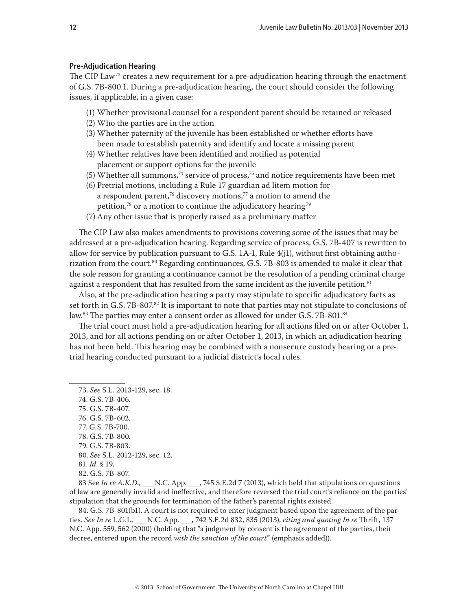## **Pre-Adjudication Hearing**

The CIP Law<sup>73</sup> creates a new requirement for a pre-adjudication hearing through the enactment of G.S. 7B-800.1. During a pre-adjudication hearing, the court should consider the following issues, if applicable, in a given case:

- (1) Whether provisional counsel for a respondent parent should be retained or released
- (2) Who the parties are in the action
- (3) Whether paternity of the juvenile has been established or whether efforts have been made to establish paternity and identify and locate a missing parent
- (4) Whether relatives have been identified and notified as potential placement or support options for the juvenile
- (5) Whether all summons,<sup>74</sup> service of process,<sup>75</sup> and notice requirements have been met
- (6) Pretrial motions, including a Rule 17 guardian ad litem motion for a respondent parent,<sup>76</sup> discovery motions,<sup>77</sup> a motion to amend the petition, $78$  or a motion to continue the adjudicatory hearing  $79$
- (7) Any other issue that is properly raised as a preliminary matter

The CIP Law also makes amendments to provisions covering some of the issues that may be addressed at a pre-adjudication hearing. Regarding service of process, G.S. 7B-407 is rewritten to allow for service by publication pursuant to G.S. 1A-1, Rule 4(j1), without first obtaining authorization from the court.<sup>80</sup> Regarding continuances, G.S. 7B-803 is amended to make it clear that the sole reason for granting a continuance cannot be the resolution of a pending criminal charge against a respondent that has resulted from the same incident as the juvenile petition. $81$ 

Also, at the pre-adjudication hearing a party may stipulate to specific adjudicatory facts as set forth in G.S. 7B-807.<sup>82</sup> It is important to note that parties may not stipulate to conclusions of law.<sup>83</sup> The parties may enter a consent order as allowed for under G.S. 7B-801.<sup>84</sup>

The trial court must hold a pre-adjudication hearing for all actions filed on or after October 1, 2013, and for all actions pending on or after October 1, 2013, in which an adjudication hearing has not been held. This hearing may be combined with a nonsecure custody hearing or a pretrial hearing conducted pursuant to a judicial district's local rules.

- 75. G.S. 7B-407. 76. G.S. 7B-602. 77. G.S. 7B-700. 78. G.S. 7B-800. 79. G.S. 7B-803. 80. *See* S.L. 2012-129, sec. 12. 81. *Id.* § 19.
- 

83 See *In re A.K.D.*, \_\_\_ N.C. App. \_\_\_, 745 S.E.2d 7 (2013), which held that stipulations on questions of law are generally invalid and ineffective, and therefore reversed the trial court's reliance on the parties' stipulation that the grounds for termination of the father's parental rights existed.

84. G.S. 7B-801(b1). A court is not required to enter judgment based upon the agreement of the parties. *See In re* L.G.I., \_\_\_ N.C. App. \_\_\_, 742 S.E.2d 832, 835 (2013), *citing and quoting In re* Thrift, 137 N.C. App. 559, 562 (2000) (holding that "a judgment by consent is the agreement of the parties, their decree, entered upon the record *with the sanction of the court*" (emphasis added)).

<sup>73.</sup> *See* S.L. 2013-129, sec. 18.

<sup>74.</sup> G.S. 7B-406.

<sup>82.</sup> G.S. 7B-807.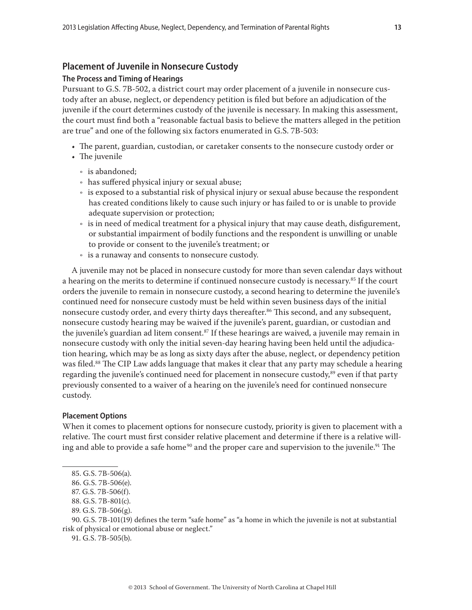# **Placement of Juvenile in Nonsecure Custody**

## **The Process and Timing of Hearings**

Pursuant to G.S. 7B-502, a district court may order placement of a juvenile in nonsecure custody after an abuse, neglect, or dependency petition is filed but before an adjudication of the juvenile if the court determines custody of the juvenile is necessary. In making this assessment, the court must find both a "reasonable factual basis to believe the matters alleged in the petition are true" and one of the following six factors enumerated in G.S. 7B-503:

- The parent, guardian, custodian, or caretaker consents to the nonsecure custody order or
- The juvenile
	- is abandoned;
	- Ǟ has suffered physical injury or sexual abuse;
	- is exposed to a substantial risk of physical injury or sexual abuse because the respondent has created conditions likely to cause such injury or has failed to or is unable to provide adequate supervision or protection;
	- is in need of medical treatment for a physical injury that may cause death, disfigurement, or substantial impairment of bodily functions and the respondent is unwilling or unable to provide or consent to the juvenile's treatment; or
	- Ǟ is a runaway and consents to nonsecure custody.

A juvenile may not be placed in nonsecure custody for more than seven calendar days without a hearing on the merits to determine if continued nonsecure custody is necessary.<sup>85</sup> If the court orders the juvenile to remain in nonsecure custody, a second hearing to determine the juvenile's continued need for nonsecure custody must be held within seven business days of the initial nonsecure custody order, and every thirty days thereafter.<sup>86</sup> This second, and any subsequent, nonsecure custody hearing may be waived if the juvenile's parent, guardian, or custodian and the juvenile's guardian ad litem consent. $^{87}$  If these hearings are waived, a juvenile may remain in nonsecure custody with only the initial seven-day hearing having been held until the adjudication hearing, which may be as long as sixty days after the abuse, neglect, or dependency petition was filed.<sup>88</sup> The CIP Law adds language that makes it clear that any party may schedule a hearing regarding the juvenile's continued need for placement in nonsecure custody,<sup>89</sup> even if that party previously consented to a waiver of a hearing on the juvenile's need for continued nonsecure custody.

## **Placement Options**

When it comes to placement options for nonsecure custody, priority is given to placement with a relative. The court must first consider relative placement and determine if there is a relative willing and able to provide a safe home<sup>90</sup> and the proper care and supervision to the juvenile.<sup>91</sup> The

87. G.S. 7B-506(f).

91. G.S. 7B-505(b).

<sup>85.</sup> G.S. 7B-506(a).

<sup>86.</sup> G.S. 7B-506(e).

<sup>88.</sup> G.S. 7B-801(c).

<sup>89.</sup> G.S. 7B-506(g).

<sup>90.</sup> G.S. 7B-101(19) defines the term "safe home" as "a home in which the juvenile is not at substantial risk of physical or emotional abuse or neglect."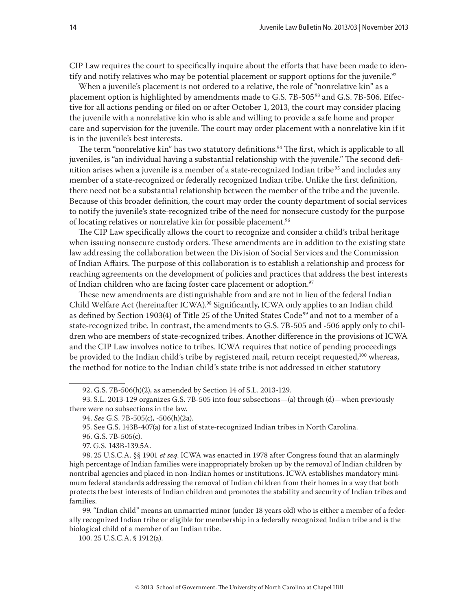CIP Law requires the court to specifically inquire about the efforts that have been made to identify and notify relatives who may be potential placement or support options for the juvenile.<sup>92</sup>

When a juvenile's placement is not ordered to a relative, the role of "nonrelative kin" as a placement option is highlighted by amendments made to G.S. 7B-505<sup>93</sup> and G.S. 7B-506. Effective for all actions pending or filed on or after October 1, 2013, the court may consider placing the juvenile with a nonrelative kin who is able and willing to provide a safe home and proper care and supervision for the juvenile. The court may order placement with a nonrelative kin if it is in the juvenile's best interests.

The term "nonrelative kin" has two statutory definitions.<sup>94</sup> The first, which is applicable to all juveniles, is "an individual having a substantial relationship with the juvenile." The second definition arises when a juvenile is a member of a state-recognized Indian tribe<sup>95</sup> and includes any member of a state-recognized or federally recognized Indian tribe. Unlike the first definition, there need not be a substantial relationship between the member of the tribe and the juvenile. Because of this broader definition, the court may order the county department of social services to notify the juvenile's state-recognized tribe of the need for nonsecure custody for the purpose of locating relatives or nonrelative kin for possible placement.<sup>96</sup>

The CIP Law specifically allows the court to recognize and consider a child's tribal heritage when issuing nonsecure custody orders. These amendments are in addition to the existing state law addressing the collaboration between the Division of Social Services and the Commission of Indian Affairs. The purpose of this collaboration is to establish a relationship and process for reaching agreements on the development of policies and practices that address the best interests of Indian children who are facing foster care placement or adoption.<sup>97</sup>

These new amendments are distinguishable from and are not in lieu of the federal Indian Child Welfare Act (hereinafter ICWA).<sup>98</sup> Significantly, ICWA only applies to an Indian child as defined by Section 1903(4) of Title 25 of the United States Code<sup>99</sup> and not to a member of a state-recognized tribe. In contrast, the amendments to G.S. 7B-505 and -506 apply only to children who are members of state-recognized tribes. Another difference in the provisions of ICWA and the CIP Law involves notice to tribes. ICWA requires that notice of pending proceedings be provided to the Indian child's tribe by registered mail, return receipt requested,<sup>100</sup> whereas, the method for notice to the Indian child's state tribe is not addressed in either statutory

98. 25 U.S.C.A. §§ 1901 *et seq*. ICWA was enacted in 1978 after Congress found that an alarmingly high percentage of Indian families were inappropriately broken up by the removal of Indian children by nontribal agencies and placed in non-Indian homes or institutions. ICWA establishes mandatory minimum federal standards addressing the removal of Indian children from their homes in a way that both protects the best interests of Indian children and promotes the stability and security of Indian tribes and families.

99. "Indian child" means an unmarried minor (under 18 years old) who is either a member of a federally recognized Indian tribe or eligible for membership in a federally recognized Indian tribe and is the biological child of a member of an Indian tribe.

100. 25 U.S.C.A. § 1912(a).

<sup>92.</sup> G.S. 7B-506(h)(2), as amended by Section 14 of S.L. 2013-129.

<sup>93.</sup> S.L. 2013-129 organizes G.S. 7B-505 into four subsections—(a) through (d)—when previously there were no subsections in the law.

<sup>94.</sup> *See* G.S. 7B-505(c), -506(h)(2a).

<sup>95.</sup> See G.S. 143B-407(a) for a list of state-recognized Indian tribes in North Carolina.

<sup>96.</sup> G.S. 7B-505(c).

<sup>97.</sup> G.S. 143B-139.5A.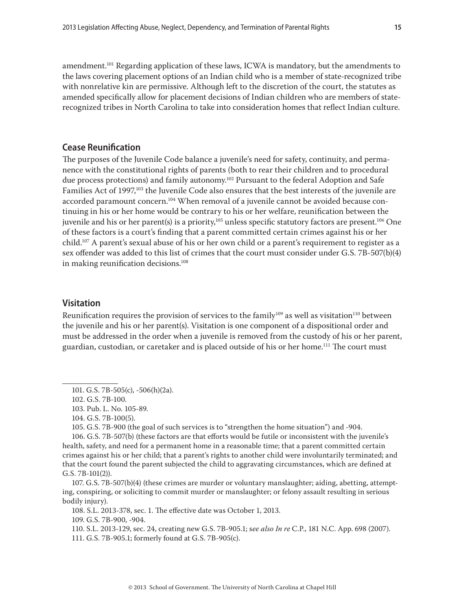amendment.<sup>101</sup> Regarding application of these laws, ICWA is mandatory, but the amendments to the laws covering placement options of an Indian child who is a member of state-recognized tribe with nonrelative kin are permissive. Although left to the discretion of the court, the statutes as amended specifically allow for placement decisions of Indian children who are members of staterecognized tribes in North Carolina to take into consideration homes that reflect Indian culture.

# **Cease Reunification**

The purposes of the Juvenile Code balance a juvenile's need for safety, continuity, and permanence with the constitutional rights of parents (both to rear their children and to procedural due process protections) and family autonomy.<sup>102</sup> Pursuant to the federal Adoption and Safe Families Act of 1997,<sup>103</sup> the Juvenile Code also ensures that the best interests of the juvenile are accorded paramount concern.104 When removal of a juvenile cannot be avoided because continuing in his or her home would be contrary to his or her welfare, reunification between the juvenile and his or her parent(s) is a priority,<sup>105</sup> unless specific statutory factors are present.<sup>106</sup> One of these factors is a court's finding that a parent committed certain crimes against his or her child.107 A parent's sexual abuse of his or her own child or a parent's requirement to register as a sex offender was added to this list of crimes that the court must consider under G.S. 7B-507(b)(4) in making reunification decisions.<sup>108</sup>

# **Visitation**

Reunification requires the provision of services to the family<sup>109</sup> as well as visitation<sup>110</sup> between the juvenile and his or her parent(s). Visitation is one component of a dispositional order and must be addressed in the order when a juvenile is removed from the custody of his or her parent, guardian, custodian, or caretaker and is placed outside of his or her home.111 The court must

105. G.S. 7B-900 (the goal of such services is to "strengthen the home situation") and -904.

106. G.S. 7B-507(b) (these factors are that efforts would be futile or inconsistent with the juvenile's health, safety, and need for a permanent home in a reasonable time; that a parent committed certain crimes against his or her child; that a parent's rights to another child were involuntarily terminated; and that the court found the parent subjected the child to aggravating circumstances, which are defined at G.S. 7B-101(2)).

107. G.S. 7B-507(b)(4) (these crimes are murder or voluntary manslaughter; aiding, abetting, attempting, conspiring, or soliciting to commit murder or manslaughter; or felony assault resulting in serious bodily injury).

108. S.L. 2013-378, sec. 1. The effective date was October 1, 2013.

109. G.S. 7B-900, -904.

110. S.L. 2013-129, sec. 24, creating new G.S. 7B-905.1; s*ee also In re* C.P., 181 N.C. App. 698 (2007).

111. G.S. 7B-905.1; formerly found at G.S. 7B-905(c).

<sup>101.</sup> G.S. 7B-505(c), -506(h)(2a).

<sup>102.</sup> G.S. 7B-100.

<sup>103.</sup> Pub. L. No. 105-89.

<sup>104.</sup> G.S. 7B-100(5).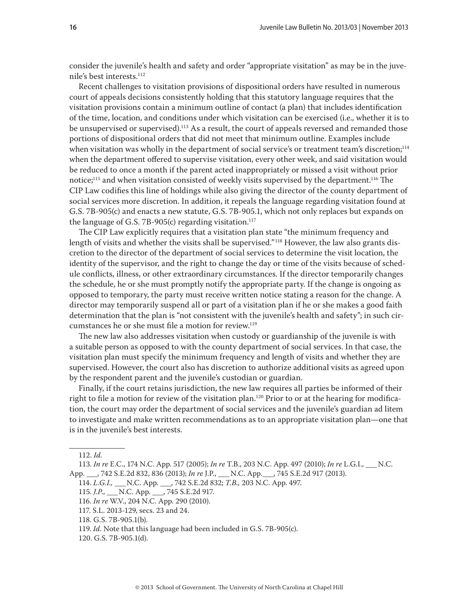consider the juvenile's health and safety and order "appropriate visitation" as may be in the juvenile's best interests.<sup>112</sup>

Recent challenges to visitation provisions of dispositional orders have resulted in numerous court of appeals decisions consistently holding that this statutory language requires that the visitation provisions contain a minimum outline of contact (a plan) that includes identification of the time, location, and conditions under which visitation can be exercised (i.e., whether it is to be unsupervised or supervised).<sup>113</sup> As a result, the court of appeals reversed and remanded those portions of dispositional orders that did not meet that minimum outline. Examples include when visitation was wholly in the department of social service's or treatment team's discretion;<sup>114</sup> when the department offered to supervise visitation, every other week, and said visitation would be reduced to once a month if the parent acted inappropriately or missed a visit without prior notice;<sup>115</sup> and when visitation consisted of weekly visits supervised by the department.<sup>116</sup> The CIP Law codifies this line of holdings while also giving the director of the county department of social services more discretion. In addition, it repeals the language regarding visitation found at G.S. 7B-905(c) and enacts a new statute, G.S. 7B-905.1, which not only replaces but expands on the language of G.S. 7B-905(c) regarding visitation.<sup>117</sup>

The CIP Law explicitly requires that a visitation plan state "the minimum frequency and length of visits and whether the visits shall be supervised."<sup>118</sup> However, the law also grants discretion to the director of the department of social services to determine the visit location, the identity of the supervisor, and the right to change the day or time of the visits because of schedule conflicts, illness, or other extraordinary circumstances. If the director temporarily changes the schedule, he or she must promptly notify the appropriate party. If the change is ongoing as opposed to temporary, the party must receive written notice stating a reason for the change. A director may temporarily suspend all or part of a visitation plan if he or she makes a good faith determination that the plan is "not consistent with the juvenile's health and safety"; in such circumstances he or she must file a motion for review.<sup>119</sup>

The new law also addresses visitation when custody or guardianship of the juvenile is with a suitable person as opposed to with the county department of social services. In that case, the visitation plan must specify the minimum frequency and length of visits and whether they are supervised. However, the court also has discretion to authorize additional visits as agreed upon by the respondent parent and the juvenile's custodian or guardian.

Finally, if the court retains jurisdiction, the new law requires all parties be informed of their right to file a motion for review of the visitation plan.<sup>120</sup> Prior to or at the hearing for modification, the court may order the department of social services and the juvenile's guardian ad litem to investigate and make written recommendations as to an appropriate visitation plan—one that is in the juvenile's best interests.

116. *In re* W.V., 204 N.C. App. 290 (2010).

<sup>112.</sup> *Id.*

<sup>113.</sup> *In re* E.C., 174 N.C. App. 517 (2005); *In re* T.B., 203 N.C. App. 497 (2010); *In re* L.G.I., \_\_\_ N.C. App. 742 S.E.2d 832, 836 (2013); *In re* J.P., N.C. App. 745 S.E.2d 917 (2013).

<sup>114.</sup> *L.G.I.,* \_\_\_ N.C. App. \_\_\_, 742 S.E.2d 832; *T.B.,* 203 N.C. App. 497.

<sup>115.</sup> *J.P*., \_\_\_ N.C. App. \_\_\_, 745 S.E.2d 917.

<sup>117.</sup> S.L. 2013-129, secs. 23 and 24.

<sup>118.</sup> G.S. 7B-905.1(b).

<sup>119.</sup> *Id*. Note that this language had been included in G.S. 7B-905(c).

<sup>120.</sup> G.S. 7B-905.1(d).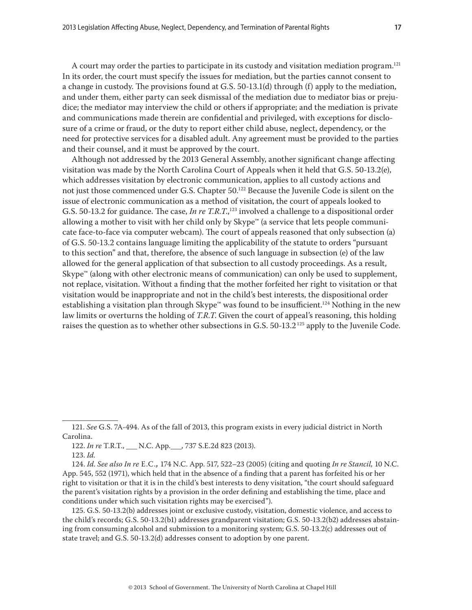A court may order the parties to participate in its custody and visitation mediation program.121 In its order, the court must specify the issues for mediation, but the parties cannot consent to a change in custody. The provisions found at G.S. 50-13.1(d) through (f) apply to the mediation, and under them, either party can seek dismissal of the mediation due to mediator bias or prejudice; the mediator may interview the child or others if appropriate; and the mediation is private and communications made therein are confidential and privileged, with exceptions for disclosure of a crime or fraud, or the duty to report either child abuse, neglect, dependency, or the need for protective services for a disabled adult. Any agreement must be provided to the parties and their counsel, and it must be approved by the court.

Although not addressed by the 2013 General Assembly, another significant change affecting visitation was made by the North Carolina Court of Appeals when it held that G.S. 50-13.2(e), which addresses visitation by electronic communication, applies to all custody actions and not just those commenced under G.S. Chapter 50.<sup>122</sup> Because the Juvenile Code is silent on the issue of electronic communication as a method of visitation, the court of appeals looked to G.S. 50-13.2 for guidance. The case, *In re T.R.T.*,<sup>123</sup> involved a challenge to a dispositional order allowing a mother to visit with her child only by Skype™ (a service that lets people communicate face-to-face via computer webcam). The court of appeals reasoned that only subsection (a) of G.S. 50-13.2 contains language limiting the applicability of the statute to orders "pursuant to this section" and that, therefore, the absence of such language in subsection (e) of the law allowed for the general application of that subsection to all custody proceedings. As a result,  $\text{Skype}^{\omega}$  (along with other electronic means of communication) can only be used to supplement, not replace, visitation. Without a finding that the mother forfeited her right to visitation or that visitation would be inappropriate and not in the child's best interests, the dispositional order establishing a visitation plan through Skype™ was found to be insufficient.<sup>124</sup> Nothing in the new law limits or overturns the holding of *T.R.T*. Given the court of appeal's reasoning, this holding raises the question as to whether other subsections in G.S. 50-13.2<sup>125</sup> apply to the Juvenile Code.

<sup>121.</sup> *See* G.S. 7A-494. As of the fall of 2013, this program exists in every judicial district in North Carolina.

<sup>122.</sup> *In re* T.R.T., \_\_\_ N.C. App.\_\_\_, 737 S.E.2d 823 (2013).

<sup>123.</sup> *Id.*

<sup>124.</sup> *Id*. *See also In re* E.C.*,* 174 N.C. App. 517, 522–23 (2005) (citing and quoting *In re Stancil,* 10 N.C. App. 545, 552 (1971), which held that in the absence of a finding that a parent has forfeited his or her right to visitation or that it is in the child's best interests to deny visitation, "the court should safeguard the parent's visitation rights by a provision in the order defining and establishing the time, place and conditions under which such visitation rights may be exercised").

<sup>125.</sup> G.S. 50-13.2(b) addresses joint or exclusive custody, visitation, domestic violence, and access to the child's records; G.S. 50-13.2(b1) addresses grandparent visitation; G.S. 50-13.2(b2) addresses abstaining from consuming alcohol and submission to a monitoring system; G.S. 50-13.2(c) addresses out of state travel; and G.S. 50-13.2(d) addresses consent to adoption by one parent.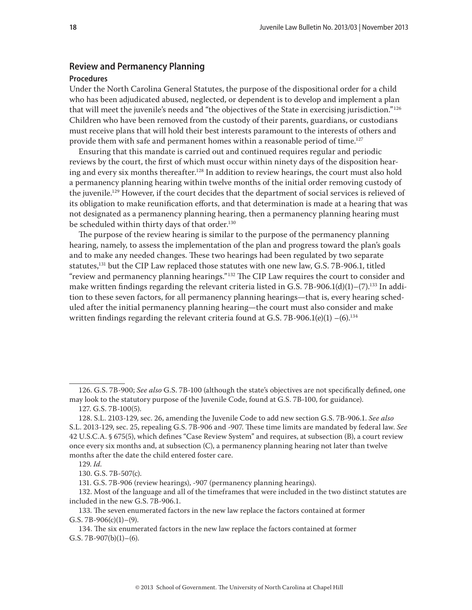#### **Review and Permanency Planning**

#### **Procedures**

Under the North Carolina General Statutes, the purpose of the dispositional order for a child who has been adjudicated abused, neglected, or dependent is to develop and implement a plan that will meet the juvenile's needs and "the objectives of the State in exercising jurisdiction."126 Children who have been removed from the custody of their parents, guardians, or custodians must receive plans that will hold their best interests paramount to the interests of others and provide them with safe and permanent homes within a reasonable period of time.<sup>127</sup>

Ensuring that this mandate is carried out and continued requires regular and periodic reviews by the court, the first of which must occur within ninety days of the disposition hearing and every six months thereafter.128 In addition to review hearings, the court must also hold a permanency planning hearing within twelve months of the initial order removing custody of the juvenile.129 However, if the court decides that the department of social services is relieved of its obligation to make reunification efforts, and that determination is made at a hearing that was not designated as a permanency planning hearing, then a permanency planning hearing must be scheduled within thirty days of that order.<sup>130</sup>

The purpose of the review hearing is similar to the purpose of the permanency planning hearing, namely, to assess the implementation of the plan and progress toward the plan's goals and to make any needed changes. These two hearings had been regulated by two separate statutes,131 but the CIP Law replaced those statutes with one new law, G.S. 7B-906.1, titled "review and permanency planning hearings."132 The CIP Law requires the court to consider and make written findings regarding the relevant criteria listed in G.S. 7B-906.1(d)(1)–(7).<sup>133</sup> In addition to these seven factors, for all permanency planning hearings—that is, every hearing scheduled after the initial permanency planning hearing—the court must also consider and make written findings regarding the relevant criteria found at G.S. 7B-906.1(e)(1)  $-(6)$ .<sup>134</sup>

<sup>126.</sup> G.S. 7B-900; *See also* G.S. 7B-100 (although the state's objectives are not specifically defined, one may look to the statutory purpose of the Juvenile Code, found at G.S. 7B-100, for guidance).

<sup>127.</sup> G.S. 7B-100(5).

<sup>128.</sup> S.L. 2103-129, sec. 26, amending the Juvenile Code to add new section G.S. 7B-906.1. *See also* S.L. 2013-129, sec. 25, repealing G.S. 7B-906 and -907. These time limits are mandated by federal law. *See* 42 U.S.C.A. § 675(5), which defines "Case Review System" and requires, at subsection (B), a court review once every six months and, at subsection (C), a permanency planning hearing not later than twelve months after the date the child entered foster care.

<sup>129.</sup> *Id.*

<sup>130.</sup> G.S. 7B-507(c).

<sup>131.</sup> G.S. 7B-906 (review hearings), -907 (permanency planning hearings).

<sup>132.</sup> Most of the language and all of the timeframes that were included in the two distinct statutes are included in the new G.S. 7B-906.1.

<sup>133.</sup> The seven enumerated factors in the new law replace the factors contained at former G.S.  $7B-906(c)(1)-(9)$ .

<sup>134.</sup> The six enumerated factors in the new law replace the factors contained at former G.S.  $7B-907(b)(1)-(6)$ .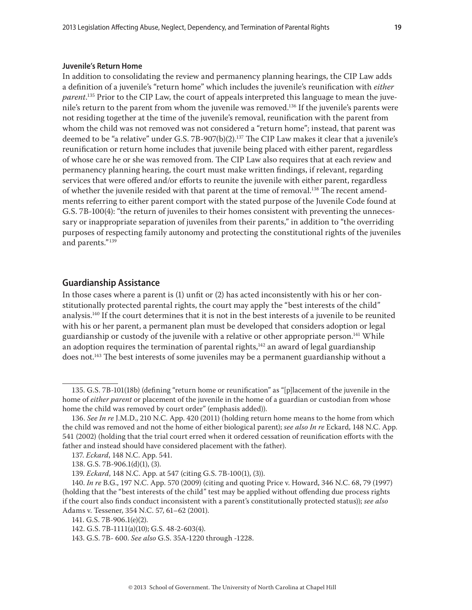#### **Juvenile's Return Home**

In addition to consolidating the review and permanency planning hearings, the CIP Law adds a definition of a juvenile's "return home" which includes the juvenile's reunification with *either parent*. 135 Prior to the CIP Law, the court of appeals interpreted this language to mean the juvenile's return to the parent from whom the juvenile was removed.<sup>136</sup> If the juvenile's parents were not residing together at the time of the juvenile's removal, reunification with the parent from whom the child was not removed was not considered a "return home"; instead, that parent was deemed to be "a relative" under G.S. 7B-907(b)(2).137 The CIP Law makes it clear that a juvenile's reunification or return home includes that juvenile being placed with either parent, regardless of whose care he or she was removed from. The CIP Law also requires that at each review and permanency planning hearing, the court must make written findings, if relevant, regarding services that were offered and/or efforts to reunite the juvenile with either parent, regardless of whether the juvenile resided with that parent at the time of removal.<sup>138</sup> The recent amendments referring to either parent comport with the stated purpose of the Juvenile Code found at G.S. 7B-100(4): "the return of juveniles to their homes consistent with preventing the unnecessary or inappropriate separation of juveniles from their parents," in addition to "the overriding purposes of respecting family autonomy and protecting the constitutional rights of the juveniles and parents."139

## **Guardianship Assistance**

In those cases where a parent is (1) unfit or (2) has acted inconsistently with his or her constitutionally protected parental rights, the court may apply the "best interests of the child" analysis.140 If the court determines that it is not in the best interests of a juvenile to be reunited with his or her parent, a permanent plan must be developed that considers adoption or legal guardianship or custody of the juvenile with a relative or other appropriate person.<sup>141</sup> While an adoption requires the termination of parental rights, $142$  an award of legal guardianship does not.<sup>143</sup> The best interests of some juveniles may be a permanent guardianship without a

<sup>135.</sup> G.S. 7B-101(18b) (defining "return home or reunification" as "[p]lacement of the juvenile in the home of *either parent* or placement of the juvenile in the home of a guardian or custodian from whose home the child was removed by court order" (emphasis added)).

<sup>136.</sup> *See In re* J.M.D., 210 N.C. App. 420 (2011) (holding return home means to the home from which the child was removed and not the home of either biological parent); *see also In re* Eckard, 148 N.C. App. 541 (2002) (holding that the trial court erred when it ordered cessation of reunification efforts with the father and instead should have considered placement with the father).

<sup>137.</sup> *Eckard*, 148 N.C. App. 541.

<sup>138.</sup> G.S. 7B-906.1(d)(1), (3).

<sup>139.</sup> *Eckard*, 148 N.C. App. at 547 (citing G.S. 7B-100(1), (3)).

<sup>140.</sup> *In re* B.G., 197 N.C. App. 570 (2009) (citing and quoting Price v. Howard, 346 N.C. 68, 79 (1997) (holding that the "best interests of the child" test may be applied without offending due process rights if the court also finds conduct inconsistent with a parent's constitutionally protected status)); *see also*  Adams v. Tessener, 354 N.C. 57, 61–62 (2001).

<sup>141.</sup> G.S. 7B-906.1(e)(2).

<sup>142.</sup> G.S. 7B-1111(a)(10); G.S. 48-2-603(4).

<sup>143.</sup> G.S. 7B- 600. *See also* G.S. 35A-1220 through -1228.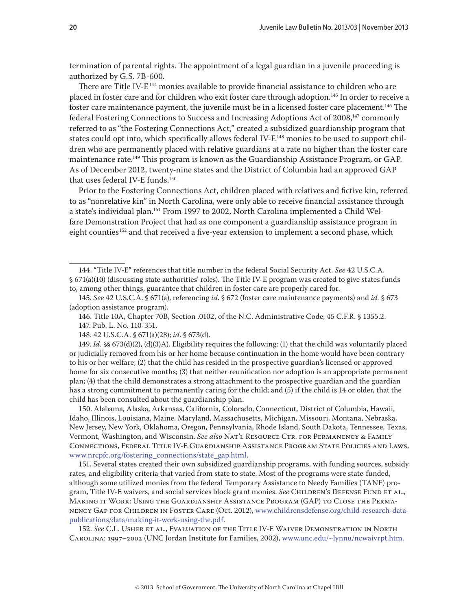termination of parental rights. The appointment of a legal guardian in a juvenile proceeding is authorized by G.S. 7B-600.

There are Title IV-E<sup>144</sup> monies available to provide financial assistance to children who are placed in foster care and for children who exit foster care through adoption.<sup>145</sup> In order to receive a foster care maintenance payment, the juvenile must be in a licensed foster care placement.146 The federal Fostering Connections to Success and Increasing Adoptions Act of 2008,147 commonly referred to as "the Fostering Connections Act," created a subsidized guardianship program that states could opt into, which specifically allows federal IV- $E^{148}$  monies to be used to support children who are permanently placed with relative guardians at a rate no higher than the foster care maintenance rate.149 This program is known as the Guardianship Assistance Program, or GAP. As of December 2012, twenty-nine states and the District of Columbia had an approved GAP that uses federal IV-E funds.150

Prior to the Fostering Connections Act, children placed with relatives and fictive kin, referred to as "nonrelative kin" in North Carolina, were only able to receive financial assistance through a state's individual plan.<sup>151</sup> From 1997 to 2002, North Carolina implemented a Child Welfare Demonstration Project that had as one component a guardianship assistance program in eight counties<sup>152</sup> and that received a five-year extension to implement a second phase, which

146. Title 10A, Chapter 70B, Section .0102, of the N.C. Administrative Code; 45 C.F.R. § 1355.2. 147. Pub. L. No. 110-351.

148. 42 U.S.C.A. § 671(a)(28); *id*. § 673(d).

149. *Id.* §§ 673(d)(2), (d)(3)A). Eligibility requires the following: (1) that the child was voluntarily placed or judicially removed from his or her home because continuation in the home would have been contrary to his or her welfare; (2) that the child has resided in the prospective guardian's licensed or approved home for six consecutive months; (3) that neither reunification nor adoption is an appropriate permanent plan; (4) that the child demonstrates a strong attachment to the prospective guardian and the guardian has a strong commitment to permanently caring for the child; and (5) if the child is 14 or older, that the child has been consulted about the guardianship plan.

150. Alabama, Alaska, Arkansas, California, Colorado, Connecticut, District of Columbia, Hawaii, Idaho, Illinois, Louisiana, Maine, Maryland, Massachusetts, Michigan, Missouri, Montana, Nebraska, New Jersey, New York, Oklahoma, Oregon, Pennsylvania, Rhode Island, South Dakota, Tennessee, Texas, Vermont, Washington, and Wisconsin. *See also* Nat'l Resource Ctr. for Permanency & Family Connections, Federal Title IV-E Guardianship Assistance Program State Policies and Laws, [www.nrcpfc.org/fostering\\_connections/state\\_gap.html.](http://www.nrcpfc.org/fostering_connections/state_gap.html)

151. Several states created their own subsidized guardianship programs, with funding sources, subsidy rates, and eligibility criteria that varied from state to state. Most of the programs were state-funded, although some utilized monies from the federal Temporary Assistance to Needy Families (TANF) program, Title IV-E waivers, and social services block grant monies. See CHILDREN'S DEFENSE FUND ET AL., Making it Work: Using the Guardianship Assistance Program (GAP) to Close the Permanency Gap for Children in Foster Care (Oct. 2012), [www.childrensdefense.org/child-research-data](http://www.childrensdefense.org/child-research-data-publications/data/making-it-work-using-the.pdf)[publications/data/making-it-work-using-the.pdf.](http://www.childrensdefense.org/child-research-data-publications/data/making-it-work-using-the.pdf)

152. *See* C.L. Usher et al., Evaluation of the Title IV-E Waiver Demonstration in North Carolina: 1997–2002 (UNC Jordan Institute for Families, 2002), [www.unc.edu/~lynnu/ncwaivrpt.htm.](http://www.unc.edu/~lynnu/ncwaivrpt.htm)

<sup>144. &</sup>quot;Title IV-E" references that title number in the federal Social Security Act. *See* 42 U.S.C.A. § 671(a)(10) (discussing state authorities' roles). The Title IV-E program was created to give states funds to, among other things, guarantee that children in foster care are properly cared for.

<sup>145.</sup> *See* 42 U.S.C.A. § 671(a), referencing *id*. § 672 (foster care maintenance payments) and *id.* § 673 (adoption assistance program).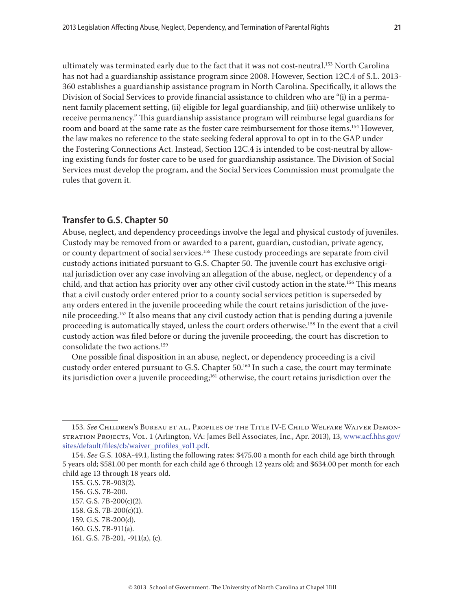ultimately was terminated early due to the fact that it was not cost-neutral.<sup>153</sup> North Carolina has not had a guardianship assistance program since 2008. However, Section 12C.4 of S.L. 2013- 360 establishes a guardianship assistance program in North Carolina. Specifically, it allows the Division of Social Services to provide financial assistance to children who are "(i) in a permanent family placement setting, (ii) eligible for legal guardianship, and (iii) otherwise unlikely to receive permanency." This guardianship assistance program will reimburse legal guardians for room and board at the same rate as the foster care reimbursement for those items.<sup>154</sup> However, the law makes no reference to the state seeking federal approval to opt in to the GAP under the Fostering Connections Act. Instead, Section 12C.4 is intended to be cost-neutral by allowing existing funds for foster care to be used for guardianship assistance. The Division of Social Services must develop the program, and the Social Services Commission must promulgate the rules that govern it.

# **Transfer to G.S. Chapter 50**

Abuse, neglect, and dependency proceedings involve the legal and physical custody of juveniles. Custody may be removed from or awarded to a parent, guardian, custodian, private agency, or county department of social services.155 These custody proceedings are separate from civil custody actions initiated pursuant to G.S. Chapter 50. The juvenile court has exclusive original jurisdiction over any case involving an allegation of the abuse, neglect, or dependency of a child, and that action has priority over any other civil custody action in the state.<sup>156</sup> This means that a civil custody order entered prior to a county social services petition is superseded by any orders entered in the juvenile proceeding while the court retains jurisdiction of the juvenile proceeding.157 It also means that any civil custody action that is pending during a juvenile proceeding is automatically stayed, unless the court orders otherwise.<sup>158</sup> In the event that a civil custody action was filed before or during the juvenile proceeding, the court has discretion to consolidate the two actions.159

One possible final disposition in an abuse, neglect, or dependency proceeding is a civil custody order entered pursuant to G.S. Chapter 50.<sup>160</sup> In such a case, the court may terminate its jurisdiction over a juvenile proceeding; $<sup>161</sup>$  otherwise, the court retains jurisdiction over the</sup>

<sup>153.</sup> *See* Children's Bureau et al., Profiles of the Title IV-E Child Welfare Waiver Demonstration Projects, Vol. 1 (Arlington, VA: James Bell Associates, Inc., Apr. 2013), 13, [www.acf.hhs.gov/](http://www.acf.hhs.gov/sites/default/files/cb/waiver_profiles_vol1.pdf) [sites/default/files/cb/waiver\\_profiles\\_vol1.pdf.](http://www.acf.hhs.gov/sites/default/files/cb/waiver_profiles_vol1.pdf)

<sup>154.</sup> *See* G.S. 108A-49.1, listing the following rates: \$475.00 a month for each child age birth through 5 years old; \$581.00 per month for each child age 6 through 12 years old; and \$634.00 per month for each child age 13 through 18 years old.

<sup>155.</sup> G.S. 7B-903(2). 156. G.S. 7B-200.

<sup>157.</sup> G.S. 7B-200(c)(2).

<sup>158.</sup> G.S. 7B-200(c)(1).

<sup>159.</sup> G.S. 7B-200(d).

<sup>160.</sup> G.S. 7B-911(a).

<sup>161.</sup> G.S. 7B-201, -911(a), (c).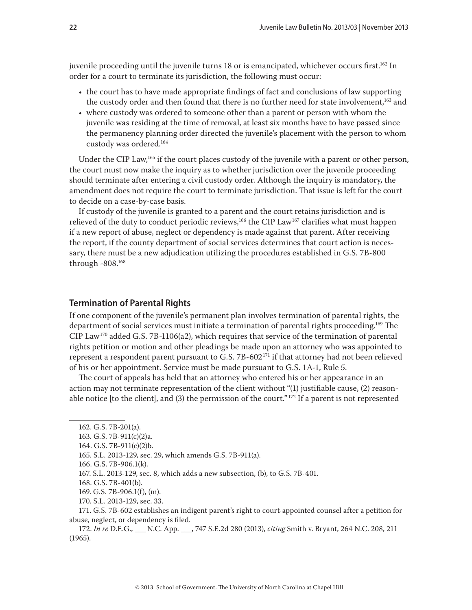juvenile proceeding until the juvenile turns 18 or is emancipated, whichever occurs first.<sup>162</sup> In order for a court to terminate its jurisdiction, the following must occur:

- the court has to have made appropriate findings of fact and conclusions of law supporting the custody order and then found that there is no further need for state involvement,<sup>163</sup> and
- where custody was ordered to someone other than a parent or person with whom the juvenile was residing at the time of removal, at least six months have to have passed since the permanency planning order directed the juvenile's placement with the person to whom custody was ordered.164

Under the CIP Law,<sup>165</sup> if the court places custody of the juvenile with a parent or other person, the court must now make the inquiry as to whether jurisdiction over the juvenile proceeding should terminate after entering a civil custody order. Although the inquiry is mandatory, the amendment does not require the court to terminate jurisdiction. That issue is left for the court to decide on a case-by-case basis.

If custody of the juvenile is granted to a parent and the court retains jurisdiction and is relieved of the duty to conduct periodic reviews,<sup>166</sup> the CIP Law<sup>167</sup> clarifies what must happen if a new report of abuse, neglect or dependency is made against that parent. After receiving the report, if the county department of social services determines that court action is necessary, there must be a new adjudication utilizing the procedures established in G.S. 7B-800 through -808.168

## **Termination of Parental Rights**

If one component of the juvenile's permanent plan involves termination of parental rights, the department of social services must initiate a termination of parental rights proceeding.<sup>169</sup> The CIP Law<sup>170</sup> added G.S. 7B-1106(a2), which requires that service of the termination of parental rights petition or motion and other pleadings be made upon an attorney who was appointed to represent a respondent parent pursuant to G.S.  $7B-602^{171}$  if that attorney had not been relieved of his or her appointment. Service must be made pursuant to G.S. 1A-1, Rule 5.

The court of appeals has held that an attorney who entered his or her appearance in an action may not terminate representation of the client without "(1) justifiable cause, (2) reasonable notice [to the client], and (3) the permission of the court."<sup>172</sup> If a parent is not represented

169. G.S. 7B-906.1(f), (m).

<sup>162.</sup> G.S. 7B-201(a).

<sup>163.</sup> G.S. 7B-911(c)(2)a.

<sup>164.</sup> G.S. 7B-911(c)(2)b.

<sup>165.</sup> S.L. 2013-129, sec. 29, which amends G.S. 7B-911(a).

<sup>166.</sup> G.S. 7B-906.1(k).

<sup>167.</sup> S.L. 2013-129, sec. 8, which adds a new subsection, (b), to G.S. 7B-401.

<sup>168.</sup> G.S. 7B-401(b).

<sup>170.</sup> S.L. 2013-129, sec. 33.

<sup>171.</sup> G.S. 7B-602 establishes an indigent parent's right to court-appointed counsel after a petition for abuse, neglect, or dependency is filed.

<sup>172.</sup> *In re* D.E.G., \_\_\_ N.C. App. \_\_\_, 747 S.E.2d 280 (2013), *citing* Smith v. Bryant, 264 N.C. 208, 211 (1965).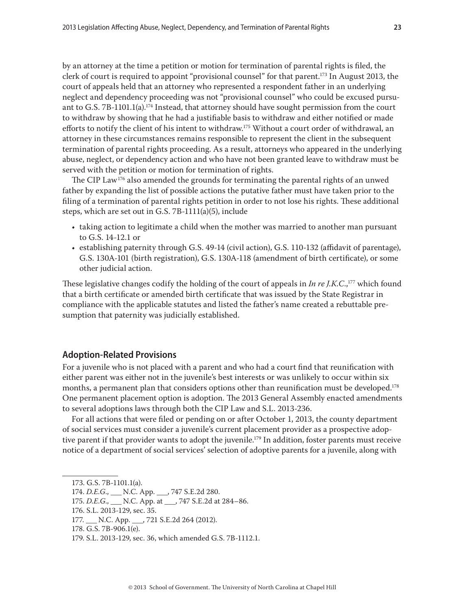by an attorney at the time a petition or motion for termination of parental rights is filed, the clerk of court is required to appoint "provisional counsel" for that parent.<sup>173</sup> In August 2013, the court of appeals held that an attorney who represented a respondent father in an underlying neglect and dependency proceeding was not "provisional counsel" who could be excused pursuant to G.S. 7B-1101.1(a).<sup>174</sup> Instead, that attorney should have sought permission from the court to withdraw by showing that he had a justifiable basis to withdraw and either notified or made efforts to notify the client of his intent to withdraw.175 Without a court order of withdrawal, an attorney in these circumstances remains responsible to represent the client in the subsequent termination of parental rights proceeding. As a result, attorneys who appeared in the underlying abuse, neglect, or dependency action and who have not been granted leave to withdraw must be served with the petition or motion for termination of rights.

The CIP Law<sup>176</sup> also amended the grounds for terminating the parental rights of an unwed father by expanding the list of possible actions the putative father must have taken prior to the filing of a termination of parental rights petition in order to not lose his rights. These additional steps, which are set out in G.S. 7B-1111(a)(5), include

- taking action to legitimate a child when the mother was married to another man pursuant to G.S. 14-12.1 or
- establishing paternity through G.S. 49-14 (civil action), G.S. 110-132 (affidavit of parentage), G.S. 130A-101 (birth registration), G.S. 130A-118 (amendment of birth certificate), or some other judicial action.

These legislative changes codify the holding of the court of appeals in *In re J.K.C*.,177 which found that a birth certificate or amended birth certificate that was issued by the State Registrar in compliance with the applicable statutes and listed the father's name created a rebuttable presumption that paternity was judicially established.

# **Adoption-Related Provisions**

For a juvenile who is not placed with a parent and who had a court find that reunification with either parent was either not in the juvenile's best interests or was unlikely to occur within six months, a permanent plan that considers options other than reunification must be developed.<sup>178</sup> One permanent placement option is adoption. The 2013 General Assembly enacted amendments to several adoptions laws through both the CIP Law and S.L. 2013-236.

For all actions that were filed or pending on or after October 1, 2013, the county department of social services must consider a juvenile's current placement provider as a prospective adoptive parent if that provider wants to adopt the juvenile.<sup>179</sup> In addition, foster parents must receive notice of a department of social services' selection of adoptive parents for a juvenile, along with

<sup>173.</sup> G.S. 7B-1101.1(a).

<sup>174.</sup> *D.E.G*., \_\_\_ N.C. App. \_\_\_, 747 S.E.2d 280.

<sup>175.</sup> *D.E.G.*, \_\_\_ N.C. App. at \_\_\_, 747 S.E.2d at 284–86.

<sup>176.</sup> S.L. 2013-129, sec. 35.

<sup>177.</sup> \_\_\_ N.C. App. \_\_\_, 721 S.E.2d 264 (2012).

<sup>178.</sup> G.S. 7B-906.1(e).

<sup>179.</sup> S.L. 2013-129, sec. 36, which amended G.S. 7B-1112.1.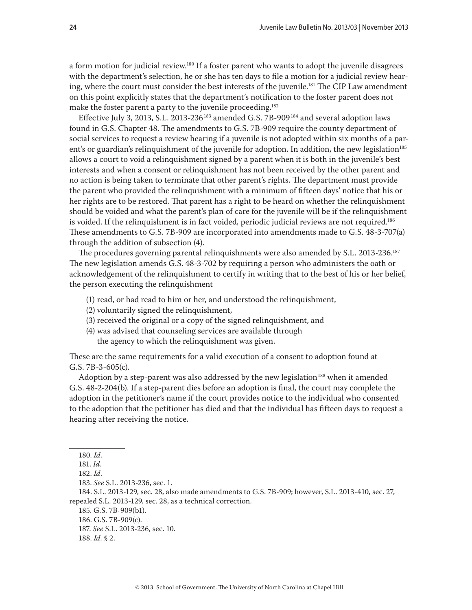a form motion for judicial review.<sup>180</sup> If a foster parent who wants to adopt the juvenile disagrees with the department's selection, he or she has ten days to file a motion for a judicial review hearing, where the court must consider the best interests of the juvenile.<sup>181</sup> The CIP Law amendment on this point explicitly states that the department's notification to the foster parent does not make the foster parent a party to the juvenile proceeding.<sup>182</sup>

Effective July 3, 2013, S.L. 2013-236<sup>183</sup> amended G.S. 7B-909<sup>184</sup> and several adoption laws found in G.S. Chapter 48. The amendments to G.S. 7B-909 require the county department of social services to request a review hearing if a juvenile is not adopted within six months of a parent's or guardian's relinquishment of the juvenile for adoption. In addition, the new legislation<sup>185</sup> allows a court to void a relinquishment signed by a parent when it is both in the juvenile's best interests and when a consent or relinquishment has not been received by the other parent and no action is being taken to terminate that other parent's rights. The department must provide the parent who provided the relinquishment with a minimum of fifteen days' notice that his or her rights are to be restored. That parent has a right to be heard on whether the relinquishment should be voided and what the parent's plan of care for the juvenile will be if the relinquishment is voided. If the relinquishment is in fact voided, periodic judicial reviews are not required.<sup>186</sup> These amendments to G.S. 7B-909 are incorporated into amendments made to G.S. 48-3-707(a) through the addition of subsection (4).

The procedures governing parental relinquishments were also amended by S.L. 2013-236.187 The new legislation amends G.S. 48-3-702 by requiring a person who administers the oath or acknowledgement of the relinquishment to certify in writing that to the best of his or her belief, the person executing the relinquishment

- (1) read, or had read to him or her, and understood the relinquishment,
- (2) voluntarily signed the relinquishment,
- (3) received the original or a copy of the signed relinquishment, and
- (4) was advised that counseling services are available through the agency to which the relinquishment was given.

These are the same requirements for a valid execution of a consent to adoption found at G.S. 7B-3-605(c).

Adoption by a step-parent was also addressed by the new legislation<sup>188</sup> when it amended G.S. 48-2-204(b). If a step-parent dies before an adoption is final, the court may complete the adoption in the petitioner's name if the court provides notice to the individual who consented to the adoption that the petitioner has died and that the individual has fifteen days to request a hearing after receiving the notice.

188. *Id.* § 2.

<sup>180.</sup> *Id*.

<sup>181.</sup> *Id*.

<sup>182.</sup> *Id*.

<sup>183.</sup> *See* S.L. 2013-236, sec. 1.

<sup>184.</sup> S.L. 2013-129, sec. 28, also made amendments to G.S. 7B-909; however, S.L. 2013-410, sec. 27, repealed S.L. 2013-129, sec. 28, as a technical correction.

<sup>185.</sup> G.S. 7B-909(b1).

<sup>186.</sup> G.S. 7B-909(c).

<sup>187.</sup> *See* S.L. 2013-236, sec. 10.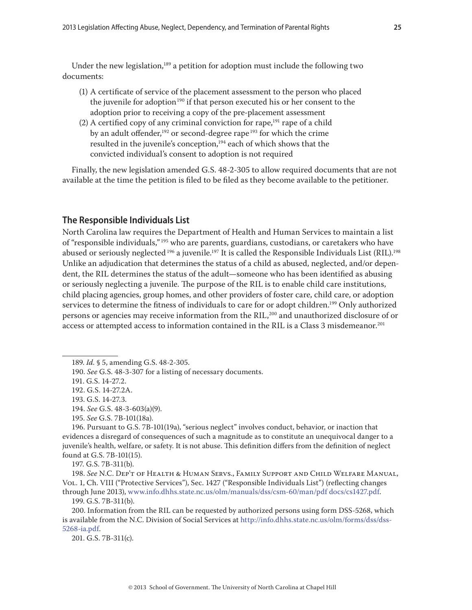Under the new legislation,<sup>189</sup> a petition for adoption must include the following two documents:

- (1) A certificate of service of the placement assessment to the person who placed the juvenile for adoption<sup>190</sup> if that person executed his or her consent to the adoption prior to receiving a copy of the pre-placement assessment
- (2) A certified copy of any criminal conviction for rape, $191$  rape of a child by an adult offender, $192$  or second-degree rape  $193$  for which the crime resulted in the juvenile's conception,<sup>194</sup> each of which shows that the convicted individual's consent to adoption is not required

Finally, the new legislation amended G.S. 48-2-305 to allow required documents that are not available at the time the petition is filed to be filed as they become available to the petitioner.

## **The Responsible Individuals List**

North Carolina law requires the Department of Health and Human Services to maintain a list of "responsible individuals," 195 who are parents, guardians, custodians, or caretakers who have abused or seriously neglected<sup>196</sup> a juvenile.<sup>197</sup> It is called the Responsible Individuals List (RIL).<sup>198</sup> Unlike an adjudication that determines the status of a child as abused, neglected, and/or dependent, the RIL determines the status of the adult—someone who has been identified as abusing or seriously neglecting a juvenile. The purpose of the RIL is to enable child care institutions, child placing agencies, group homes, and other providers of foster care, child care, or adoption services to determine the fitness of individuals to care for or adopt children.<sup>199</sup> Only authorized persons or agencies may receive information from the RIL,<sup>200</sup> and unauthorized disclosure of or access or attempted access to information contained in the RIL is a Class 3 misdemeanor.<sup>201</sup>

193. G.S. 14-27.3.

194. *See* G.S. 48-3-603(a)(9).

196. Pursuant to G.S. 7B-101(19a), "serious neglect" involves conduct, behavior, or inaction that evidences a disregard of consequences of such a magnitude as to constitute an unequivocal danger to a juvenile's health, welfare, or safety. It is not abuse. This definition differs from the definition of neglect found at G.S. 7B-101(15).

197. G.S. 7B-311(b).

198. *See* N.C. Dep't of Health & Human Servs., Family Support and Child Welfare Manual, Vol. 1, Ch. VIII ("Protective Services"), Sec. 1427 ("Responsible Individuals List") (reflecting changes through June 2013), [www.info.dhhs.state.nc.us/olm/manuals/dss/csm-60/man/pdf docs/cs1427.pdf](http://info.dhhs.state.nc.us/olm/manuals/dss/csm-60/man/pdf%20docs/CS1427.pdf).

199. G.S. 7B-311(b).

200. Information from the RIL can be requested by authorized persons using form DSS-5268, which is available from the N.C. Division of Social Services at [http://info.dhhs.state.nc.us/olm/forms/dss/dss-](http://info.dhhs.state.nc.us/olm/forms/dss/dss-5268-ia.pdf)[5268-ia.pdf](http://info.dhhs.state.nc.us/olm/forms/dss/dss-5268-ia.pdf).

201. G.S. 7B-311(c).

<sup>189.</sup> *Id.* § 5, amending G.S. 48-2-305.

<sup>190.</sup> *See* G.S. 48-3-307 for a listing of necessary documents.

<sup>191.</sup> G.S. 14-27.2.

<sup>192.</sup> G.S. 14-27.2A.

<sup>195.</sup> *See* G.S. 7B-101(18a).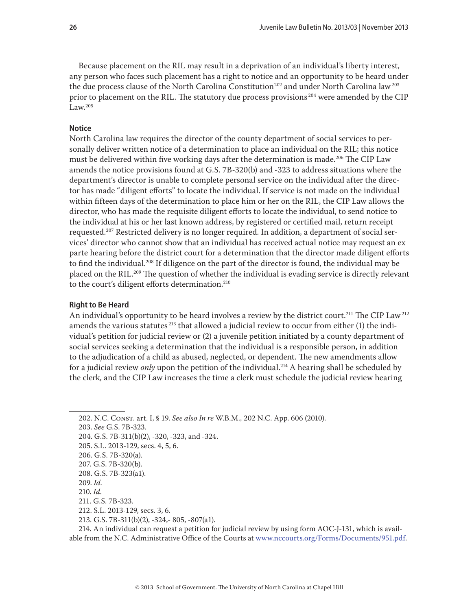Because placement on the RIL may result in a deprivation of an individual's liberty interest, any person who faces such placement has a right to notice and an opportunity to be heard under the due process clause of the North Carolina Constitution<sup>202</sup> and under North Carolina law<sup>203</sup> prior to placement on the RIL. The statutory due process provisions<sup>204</sup> were amended by the CIP Law. $205$ 

#### **Notice**

North Carolina law requires the director of the county department of social services to personally deliver written notice of a determination to place an individual on the RIL; this notice must be delivered within five working days after the determination is made.<sup>206</sup> The CIP Law amends the notice provisions found at G.S. 7B-320(b) and -323 to address situations where the department's director is unable to complete personal service on the individual after the director has made "diligent efforts" to locate the individual. If service is not made on the individual within fifteen days of the determination to place him or her on the RIL, the CIP Law allows the director, who has made the requisite diligent efforts to locate the individual, to send notice to the individual at his or her last known address, by registered or certified mail, return receipt requested.<sup>207</sup> Restricted delivery is no longer required. In addition, a department of social services' director who cannot show that an individual has received actual notice may request an ex parte hearing before the district court for a determination that the director made diligent efforts to find the individual.208 If diligence on the part of the director is found, the individual may be placed on the RIL.209 The question of whether the individual is evading service is directly relevant to the court's diligent efforts determination.<sup>210</sup>

## **Right to Be Heard**

An individual's opportunity to be heard involves a review by the district court.<sup>211</sup> The CIP Law<sup>212</sup> amends the various statutes<sup>213</sup> that allowed a judicial review to occur from either (1) the individual's petition for judicial review or (2) a juvenile petition initiated by a county department of social services seeking a determination that the individual is a responsible person, in addition to the adjudication of a child as abused, neglected, or dependent. The new amendments allow for a judicial review *only* upon the petition of the individual.<sup>214</sup> A hearing shall be scheduled by the clerk, and the CIP Law increases the time a clerk must schedule the judicial review hearing

202. N.C. Const. art. I, § 19. *See also In re* W.B.M., 202 N.C. App. 606 (2010).

203. *See* G.S. 7B-323.

214. An individual can request a petition for judicial review by using form AOC-J-131, which is available from the N.C. Administrative Office of the Courts at [www.nccourts.org/Forms/Documents/951.pdf.](http://www.nccourts.org/Forms/Documents/951.pdf)

<sup>204.</sup> G.S. 7B-311(b)(2), -320, -323, and -324.

<sup>205.</sup> S.L. 2013-129, secs. 4, 5, 6.

<sup>206.</sup> G.S. 7B-320(a).

<sup>207.</sup> G.S. 7B-320(b).

<sup>208.</sup> G.S. 7B-323(a1).

<sup>209.</sup> *Id.*

<sup>210.</sup> *Id.*

<sup>211.</sup> G.S. 7B-323.

<sup>212.</sup> S.L. 2013-129, secs. 3, 6.

<sup>213.</sup> G.S. 7B-311(b)(2), -324,- 805, -807(a1).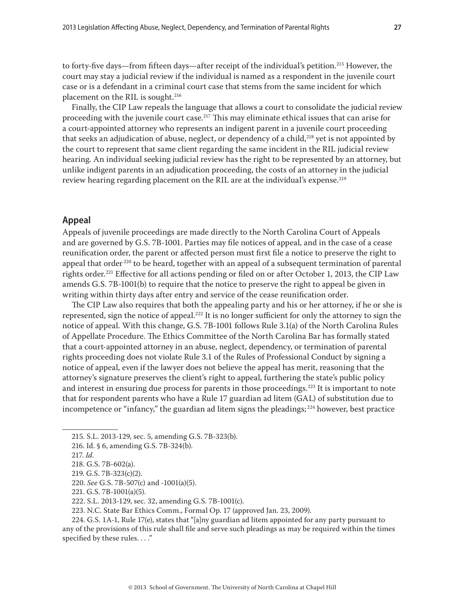to forty-five days—from fifteen days—after receipt of the individual's petition.215 However, the court may stay a judicial review if the individual is named as a respondent in the juvenile court case or is a defendant in a criminal court case that stems from the same incident for which placement on the RIL is sought.<sup>216</sup>

Finally, the CIP Law repeals the language that allows a court to consolidate the judicial review proceeding with the juvenile court case.<sup>217</sup> This may eliminate ethical issues that can arise for a court-appointed attorney who represents an indigent parent in a juvenile court proceeding that seeks an adjudication of abuse, neglect, or dependency of a child,<sup>218</sup> yet is not appointed by the court to represent that same client regarding the same incident in the RIL judicial review hearing. An individual seeking judicial review has the right to be represented by an attorney, but unlike indigent parents in an adjudication proceeding, the costs of an attorney in the judicial review hearing regarding placement on the RIL are at the individual's expense.<sup>219</sup>

# **Appeal**

Appeals of juvenile proceedings are made directly to the North Carolina Court of Appeals and are governed by G.S. 7B-1001. Parties may file notices of appeal, and in the case of a cease reunification order, the parent or affected person must first file a notice to preserve the right to appeal that order<sup>220</sup> to be heard, together with an appeal of a subsequent termination of parental rights order.<sup>221</sup> Effective for all actions pending or filed on or after October 1, 2013, the CIP Law amends G.S. 7B-1001(b) to require that the notice to preserve the right to appeal be given in writing within thirty days after entry and service of the cease reunification order.

The CIP Law also requires that both the appealing party and his or her attorney, if he or she is represented, sign the notice of appeal.<sup>222</sup> It is no longer sufficient for only the attorney to sign the notice of appeal. With this change, G.S. 7B-1001 follows Rule 3.1(a) of the North Carolina Rules of Appellate Procedure. The Ethics Committee of the North Carolina Bar has formally stated that a court-appointed attorney in an abuse, neglect, dependency, or termination of parental rights proceeding does not violate Rule 3.1 of the Rules of Professional Conduct by signing a notice of appeal, even if the lawyer does not believe the appeal has merit, reasoning that the attorney's signature preserves the client's right to appeal, furthering the state's public policy and interest in ensuring due process for parents in those proceedings.<sup>223</sup> It is important to note that for respondent parents who have a Rule 17 guardian ad litem (GAL) of substitution due to incompetence or "infancy," the guardian ad litem signs the pleadings; 224 however, best practice

220. *See* G.S. 7B-507(c) and -1001(a)(5).

224. G.S. 1A-1, Rule 17(e), states that "[a]ny guardian ad litem appointed for any party pursuant to any of the provisions of this rule shall file and serve such pleadings as may be required within the times specified by these rules. . . ."

<sup>215.</sup> S.L. 2013-129, sec. 5, amending G.S. 7B-323(b).

<sup>216.</sup> Id. § 6, amending G.S. 7B-324(b).

<sup>217.</sup> *Id.*

<sup>218.</sup> G.S. 7B-602(a).

<sup>219.</sup> G.S. 7B-323(c)(2).

<sup>221.</sup> G.S. 7B-1001(a)(5).

<sup>222.</sup> S.L. 2013-129, sec. 32, amending G.S. 7B-1001(c).

<sup>223.</sup> N.C. State Bar Ethics Comm., Formal Op. 17 (approved Jan. 23, 2009).